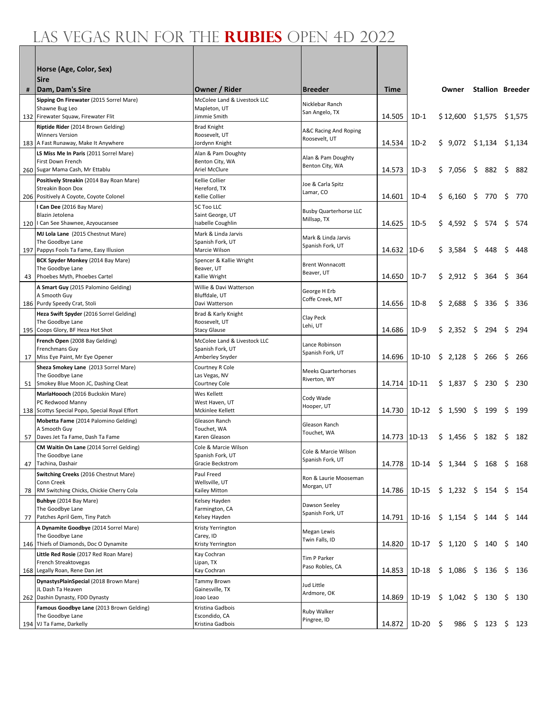|    | Horse (Age, Color, Sex)<br><b>Sire</b>                                      |                                       |                                         |              |                                                               |                             |         |                         |      |     |
|----|-----------------------------------------------------------------------------|---------------------------------------|-----------------------------------------|--------------|---------------------------------------------------------------|-----------------------------|---------|-------------------------|------|-----|
| #  | Dam, Dam's Sire                                                             | Owner / Rider                         | <b>Breeder</b>                          | <b>Time</b>  |                                                               | Owner                       |         | <b>Stallion Breeder</b> |      |     |
|    | Sipping On Firewater (2015 Sorrel Mare)                                     | McColee Land & Livestock LLC          | Nicklebar Ranch                         |              |                                                               |                             |         |                         |      |     |
|    | Shawne Bug Leo<br>132 Firewater Squaw, Firewater Flit                       | Mapleton, UT<br>Jimmie Smith          | San Angelo, TX                          | 14.505       | $1D-1$                                                        | $$12,600$ $$1,575$ $$1,575$ |         |                         |      |     |
|    | Riptide Rider (2014 Brown Gelding)                                          | Brad Knight                           |                                         |              |                                                               |                             |         |                         |      |     |
|    | <b>Winners Version</b>                                                      | Roosevelt, UT                         | A&C Racing And Roping<br>Roosevelt, UT  |              |                                                               |                             |         |                         |      |     |
|    | 183 A Fast Runaway, Make It Anywhere                                        | Jordynn Knight                        |                                         | 14.534       | $1D-2$                                                        | $$9,072$ $$1,134$ $$1,134$  |         |                         |      |     |
|    | LS Miss Me In Paris (2011 Sorrel Mare)                                      | Alan & Pam Doughty                    | Alan & Pam Doughty                      |              |                                                               |                             |         |                         |      |     |
|    | First Down French<br>260 Sugar Mama Cash, Mr Ettablu                        | Benton City, WA<br>Ariel McClure      | Benton City, WA                         | 14.573       | $1D-3$                                                        | \$7,056                     | \$      | 882 \$                  |      | 882 |
|    | Positively Streakin (2014 Bay Roan Mare)                                    | Kellie Collier                        |                                         |              |                                                               |                             |         |                         |      |     |
|    | Streakin Boon Dox                                                           | Hereford, TX                          | Joe & Carla Spitz<br>Lamar, CO          |              |                                                               |                             |         |                         |      |     |
|    | 206 Positively A Coyote, Coyote Colonel                                     | Kellie Collier                        |                                         | 14.601       | $1D-4$                                                        | \$6,160                     |         | \$770                   | \$   | 770 |
|    | I Can Dee (2016 Bay Mare)                                                   | <b>5C Too LLC</b>                     | <b>Busby Quarterhorse LLC</b>           |              |                                                               |                             |         |                         |      |     |
|    | Blazin Jetolena<br>120   Can See Shawnee, Azyoucansee                       | Saint George, UT<br>Isabelle Coughlin | Millsap, TX                             | 14.625       | $1D-5$                                                        | \$4,592                     | \$      | 574                     | \$   | 574 |
|    | MJ Lola Lane (2015 Chestnut Mare)                                           | Mark & Linda Jarvis                   |                                         |              |                                                               |                             |         |                         |      |     |
|    | The Goodbye Lane                                                            | Spanish Fork, UT                      | Mark & Linda Jarvis<br>Spanish Fork, UT |              |                                                               |                             |         |                         |      |     |
|    | 197 Pappys Fools Ta Fame, Easy Illusion                                     | Marcie Wilson                         |                                         | 14.632       | $1D-6$                                                        | \$3,584                     | \$      | 448                     | \$   | 448 |
|    | BCK Spyder Monkey (2014 Bay Mare)<br>The Goodbye Lane                       | Spencer & Kallie Wright<br>Beaver, UT | <b>Brent Wonnacott</b>                  |              |                                                               |                             |         |                         |      |     |
| 43 | Phoebes Myth, Phoebes Cartel                                                | Kallie Wright                         | Beaver, UT                              | 14.650       | $1D-7$                                                        | \$2,912                     | \$      | 364                     | \$   | 364 |
|    | A Smart Guy (2015 Palomino Gelding)                                         | Willie & Davi Watterson               |                                         |              |                                                               |                             |         |                         |      |     |
|    | A Smooth Guy                                                                | Bluffdale, UT                         | George H Erb<br>Coffe Creek, MT         |              |                                                               |                             |         |                         |      |     |
|    | 186 Purdy Speedy Crat, Stoli                                                | Davi Watterson                        |                                         | 14.656       | $1D-8$                                                        | \$2,688                     | \$.     | 336                     | \$   | 336 |
|    | Heza Swift Spyder (2016 Sorrel Gelding)<br>The Goodbye Lane                 | Brad & Karly Knight<br>Roosevelt, UT  | Clay Peck                               |              |                                                               |                             |         |                         |      |     |
|    | 195 Coops Glory, BF Heza Hot Shot                                           | <b>Stacy Glause</b>                   | Lehi, UT                                | 14.686       | $1D-9$                                                        | \$2,352                     | \$      | 294                     | \$   | 294 |
|    | French Open (2008 Bay Gelding)                                              | McColee Land & Livestock LLC          | Lance Robinson                          |              |                                                               |                             |         |                         |      |     |
|    | Frenchmans Guy                                                              | Spanish Fork, UT                      | Spanish Fork, UT                        |              |                                                               |                             |         |                         |      |     |
| 17 | Miss Eye Paint, Mr Eye Opener                                               | Amberley Snyder                       |                                         | 14.696       | $1D-10$                                                       | \$2,128                     | - \$    | 266                     | \$   | 266 |
|    | Sheza Smokey Lane (2013 Sorrel Mare)<br>The Goodbye Lane                    | Courtney R Cole<br>Las Vegas, NV      | <b>Meeks Quarterhorses</b>              |              |                                                               |                             |         |                         |      |     |
|    | 51 Smokey Blue Moon JC, Dashing Cleat                                       | Courtney Cole                         | Riverton, WY                            | 14.714 1D-11 |                                                               | \$1,837                     | $\zeta$ | 230                     | \$   | 230 |
|    | MarlaHoooch (2016 Buckskin Mare)                                            | Wes Kellett                           | Cody Wade                               |              |                                                               |                             |         |                         |      |     |
|    | PC Redwood Manny<br>138 Scottys Special Popo, Special Royal Effort          | West Haven, UT<br>Mckinlee Kellett    | Hooper, UT                              | 14.730       | $1D-12$                                                       | \$1,590                     | \$      | 199                     | \$   | 199 |
|    | Mobetta Fame (2014 Palomino Gelding)                                        | Gleason Ranch                         |                                         |              |                                                               |                             |         |                         |      |     |
|    | A Smooth Guy                                                                | Touchet, WA                           | Gleason Ranch                           |              |                                                               |                             |         |                         |      |     |
| 57 | Daves Jet Ta Fame, Dash Ta Fame                                             | Karen Gleason                         | Touchet, WA                             | 14.773 1D-13 |                                                               | \$1,456                     | \$      | 182                     | - \$ | 182 |
|    | CM Waitin On Lane (2014 Sorrel Gelding)                                     | Cole & Marcie Wilson                  | Cole & Marcie Wilson                    |              |                                                               |                             |         |                         |      |     |
|    | The Goodbye Lane<br>47 Tachina, Dashair                                     | Spanish Fork, UT<br>Gracie Beckstrom  | Spanish Fork, UT                        | 14.778       | 1D-14 $\frac{1}{2}$ 1,344 $\frac{1}{2}$ 168 $\frac{1}{2}$ 168 |                             |         |                         |      |     |
|    | Switching Creeks (2016 Chestnut Mare)                                       | Paul Freed                            |                                         |              |                                                               |                             |         |                         |      |     |
|    | Conn Creek                                                                  | Wellsville, UT                        | Ron & Laurie Mooseman<br>Morgan, UT     |              |                                                               |                             |         |                         |      |     |
| 78 | RM Switching Chicks, Chickie Cherry Cola                                    | Kailey Mitton                         |                                         | 14.786       | $1D-15$                                                       | $$1,232$ $$154$ $$$         |         |                         |      | 154 |
|    | Buhbye (2014 Bay Mare)<br>The Goodbye Lane                                  | Kelsey Hayden<br>Farmington, CA       | Dawson Seeley                           |              |                                                               |                             |         |                         |      |     |
| 77 | Patches April Gem, Tiny Patch                                               | Kelsey Hayden                         | Spanish Fork, UT                        | 14.791       | 1D-16                                                         | $$1,154$ \$                 |         | 144 \$                  |      | 144 |
|    | A Dynamite Goodbye (2014 Sorrel Mare)                                       | Kristy Yerrington                     |                                         |              |                                                               |                             |         |                         |      |     |
|    | The Goodbye Lane                                                            | Carey, ID                             | Megan Lewis<br>Twin Falls, ID           |              |                                                               |                             |         |                         |      |     |
|    | 146 Thiefs of Diamonds, Doc O Dynamite                                      | Kristy Yerrington                     |                                         | 14.820       | 1D-17                                                         | $$1,120$ \$                 |         | $140 \div$              |      | 140 |
|    | Little Red Rosie (2017 Red Roan Mare)<br>French Streaktovegas               | Kay Cochran<br>Lipan, TX              | Tim P Parker                            |              |                                                               |                             |         |                         |      |     |
|    | 168 Legally Roan, Rene Dan Jet                                              | Kay Cochran                           | Paso Robles, CA                         | 14.853       | 1D-18                                                         | $$1,086$ \$                 |         | $136 \quad $$           |      | 136 |
|    | DynastysPlainSpecial (2018 Brown Mare)                                      | Tammy Brown                           | Jud Little                              |              |                                                               |                             |         |                         |      |     |
|    | JL Dash Ta Heaven                                                           | Gainesville, TX                       | Ardmore, OK                             | 14.869       |                                                               |                             |         |                         | \$   |     |
|    | 262 Dashin Dynasty, FDD Dynasty<br>Famous Goodbye Lane (2013 Brown Gelding) | Joao Leao<br>Kristina Gadbois         |                                         |              | 1D-19                                                         | $$1,042$ \$                 |         | 130                     |      | 130 |
|    | The Goodbye Lane                                                            | Escondido, CA                         | Ruby Walker                             |              |                                                               |                             |         |                         |      |     |
|    | 194 VJ Ta Fame, Darkelly                                                    | Kristina Gadbois                      | Pingree, ID                             | 14.872       | 1D-20                                                         | \$<br>986                   |         | $$123$ \$               |      | 123 |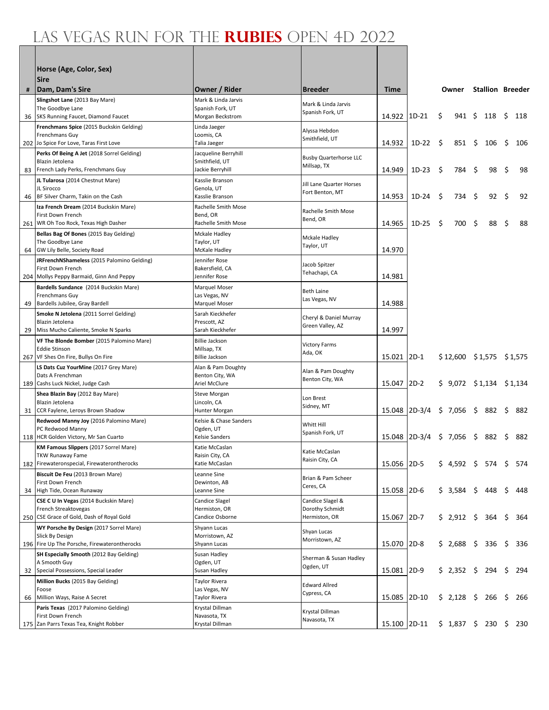|    | Horse (Age, Color, Sex)                                                                                         |                                                               |                                                      |              |          |    |                             |              |                         |      |     |
|----|-----------------------------------------------------------------------------------------------------------------|---------------------------------------------------------------|------------------------------------------------------|--------------|----------|----|-----------------------------|--------------|-------------------------|------|-----|
|    | <b>Sire</b>                                                                                                     | Owner / Rider                                                 | <b>Breeder</b>                                       | <b>Time</b>  |          |    | Owner                       |              | <b>Stallion Breeder</b> |      |     |
|    | #   Dam, Dam's Sire<br>Slingshot Lane (2013 Bay Mare)<br>The Goodbye Lane                                       | Mark & Linda Jarvis<br>Spanish Fork, UT                       | Mark & Linda Jarvis<br>Spanish Fork, UT              |              |          |    |                             |              |                         |      |     |
|    | 36   SKS Running Faucet, Diamond Faucet<br>Frenchmans Spice (2015 Buckskin Gelding)                             | Morgan Beckstrom<br>Linda Jaeger                              |                                                      | 14.922       | $1D-21$  | \$ | 941 \$                      |              | 118                     | - \$ | 118 |
|    | Frenchmans Guy<br>202 Jo Spice For Love, Taras First Love                                                       | Loomis, CA<br>Talia Jaeger                                    | Alyssa Hebdon<br>Smithfield, UT                      | 14.932       | $1D-22$  | -S | 851                         | - \$         | 106                     | \$   | 106 |
|    | Perks Of Being A Jet (2018 Sorrel Gelding)<br>Blazin Jetolena<br>83 French Lady Perks, Frenchmans Guy           | Jacqueline Berryhill<br>Smithfield, UT<br>Jackie Berryhill    | <b>Busby Quarterhorse LLC</b><br>Millsap, TX         | 14.949       | $1D-23$  | \$ | 784                         | -\$          | 98                      | \$   | 98  |
|    | JL Tularosa (2014 Chestnut Mare)<br>JL Sirocco<br>46 BF Silver Charm, Takin on the Cash                         | Kasslie Branson<br>Genola, UT<br>Kasslie Branson              | Jill Lane Quarter Horses<br>Fort Benton, MT          | 14.953       | $1D-24$  | S  | 734                         | -S           | 92                      | \$   | 92  |
|    | Iza French Dream (2014 Buckskin Mare)<br>First Down French<br>261 WR Oh Too Rock, Texas High Dasher             | Rachelle Smith Mose<br>Bend, OR<br>Rachelle Smith Mose        | Rachelle Smith Mose<br>Bend, OR                      | 14.965       | $1D-25$  | \$ | 700                         | -S           | 88                      | \$   | 88  |
|    | Bellas Bag Of Bones (2015 Bay Gelding)<br>The Goodbye Lane<br>64 GW Lily Belle, Society Road                    | Mckale Hadley<br>Taylor, UT<br>McKale Hadley                  | Mckale Hadley<br>Taylor, UT                          | 14.970       |          |    |                             |              |                         |      |     |
|    | JRFrenchNShameless (2015 Palomino Gelding)<br>First Down French<br>204 Mollys Peppy Barmaid, Ginn And Peppy     | Jennifer Rose<br>Bakersfield, CA<br>Jennifer Rose             | Jacob Spitzer<br>Tehachapi, CA                       | 14.981       |          |    |                             |              |                         |      |     |
|    | Bardells Sundance (2014 Buckskin Mare)<br>Frenchmans Guy<br>49 Bardells Jubilee, Gray Bardell                   | Marquel Moser<br>Las Vegas, NV<br>Marquel Moser               | <b>Beth Laine</b><br>Las Vegas, NV                   | 14.988       |          |    |                             |              |                         |      |     |
| 29 | Smoke N Jetolena (2011 Sorrel Gelding)<br>Blazin Jetolena<br>Miss Mucho Caliente, Smoke N Sparks                | Sarah Kieckhefer<br>Prescott, AZ<br>Sarah Kieckhefer          | Cheryl & Daniel Murray<br>Green Valley, AZ           | 14.997       |          |    |                             |              |                         |      |     |
|    | VF The Blonde Bomber (2015 Palomino Mare)<br><b>Eddie Stinson</b><br>267 VF Shes On Fire, Bullys On Fire        | <b>Billie Jackson</b><br>Millsap, TX<br><b>Billie Jackson</b> | <b>Victory Farms</b><br>Ada, OK                      | 15.021 2D-1  |          |    | $$12,600$ $$1,575$ $$1,575$ |              |                         |      |     |
|    | LS Dats Cuz YourMine (2017 Grey Mare)<br>Dats A Frenchman<br>189 Cashs Luck Nickel, Judge Cash                  | Alan & Pam Doughty<br>Benton City, WA<br>Ariel McClure        | Alan & Pam Doughty<br>Benton City, WA                | 15.047       | $2D-2$   |    | $$9,072$ $$1,134$ $$1,134$  |              |                         |      |     |
|    | Shea Blazin Bay (2012 Bay Mare)<br>Blazin Jetolena<br>31 CCR Faylene, Leroys Brown Shadow                       | <b>Steve Morgan</b><br>Lincoln, CA<br>Hunter Morgan           | Lon Brest<br>Sidney, MT                              | 15.048       | $2D-3/4$ |    | $$7,056$ \$ 882             |              |                         | \$   | 882 |
|    | Redwood Manny Joy (2016 Palomino Mare)<br>PC Redwood Manny<br>118 HCR Golden Victory, Mr San Cuarto             | Kelsie & Chase Sanders<br>Ogden, UT<br>Kelsie Sanders         | Whitt Hill<br>Spanish Fork, UT                       | 15.048       | $2D-3/4$ |    | \$7,056                     | \$           | 882                     | \$   | 882 |
|    | KM Famous Slippers (2017 Sorrel Mare)<br><b>TKW Runaway Fame</b><br>182 Firewateronspecial, Firewaterontherocks | Katie McCaslan<br>Raisin City, CA<br>Katie McCaslan           | Katie McCaslan<br>Raisin City, CA                    | 15.056 2D-5  |          |    | \$4,592\$574\$              |              |                         |      | 574 |
|    | Biscuit De Feu (2013 Brown Mare)<br>First Down French<br>34 High Tide, Ocean Runaway                            | Leanne Sine<br>Dewinton, AB<br>Leanne Sine                    | Brian & Pam Scheer<br>Ceres, CA                      | 15.058       | $2D-6$   |    | \$3,584                     | $\mathsf{S}$ | 448                     | \$   | 448 |
|    | CSE C U In Vegas (2014 Buckskin Mare)<br>French Streaktovegas<br>250 CSE Grace of Gold, Dash of Royal Gold      | Candice Slagel<br>Hermiston, OR<br>Candice Osborne            | Candice Slagel &<br>Dorothy Schmidt<br>Hermiston, OR | 15.067       | $2D-7$   |    | $$2,912$ \$                 |              | 364                     | \$   | 364 |
|    | WY Porsche By Design (2017 Sorrel Mare)<br>Slick By Design<br>196 Fire Up The Porsche, Firewaterontherocks      | Shyann Lucas<br>Morristown, AZ<br>Shyann Lucas                | Shyan Lucas<br>Morristown, AZ                        | 15.070 2D-8  |          |    | \$2,688                     |              | \$ 336                  | - \$ | 336 |
|    | SH Especially Smooth (2012 Bay Gelding)<br>A Smooth Guy<br>32 Special Possessions, Special Leader               | Susan Hadley<br>Ogden, UT<br>Susan Hadley                     | Sherman & Susan Hadley<br>Ogden, UT                  | 15.081 2D-9  |          |    | $$2,352$$ $$294$            |              |                         | \$   | 294 |
| 66 | Million Bucks (2015 Bay Gelding)<br>Foose<br>Million Ways, Raise A Secret                                       | <b>Taylor Rivera</b><br>Las Vegas, NV<br>Taylor Rivera        | <b>Edward Allred</b><br>Cypress, CA                  | 15.085       | $2D-10$  |    | $$2,128$$ \$ 266            |              |                         | - \$ | 266 |
|    | Paris Texas (2017 Palomino Gelding)<br>First Down French<br>175 Zan Parrs Texas Tea, Knight Robber              | Krystal Dillman<br>Navasota, TX<br>Krystal Dillman            | Krystal Dillman<br>Navasota, TX                      | 15.100 2D-11 |          |    | $$1,837$ $$230$ $$$         |              |                         |      | 230 |
|    |                                                                                                                 |                                                               |                                                      |              |          |    |                             |              |                         |      |     |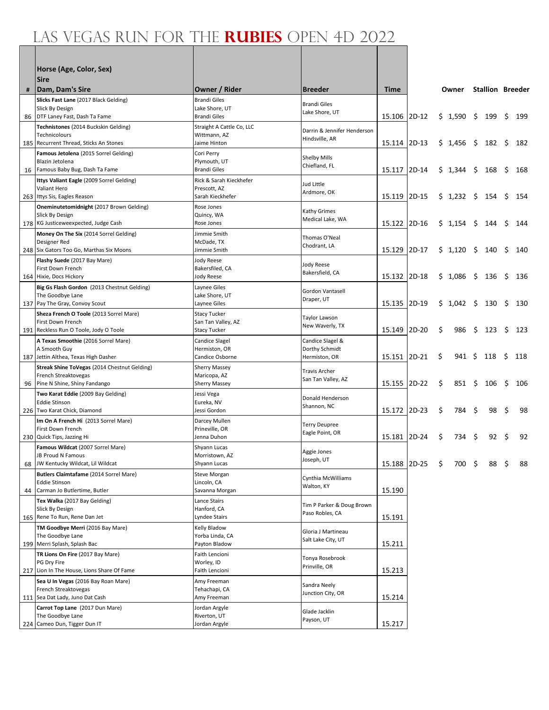|    | Horse (Age, Color, Sex)<br><b>Sire</b>                                         |                                       |                                               |              |         |                     |         |      |                         |    |      |
|----|--------------------------------------------------------------------------------|---------------------------------------|-----------------------------------------------|--------------|---------|---------------------|---------|------|-------------------------|----|------|
| #  | Dam, Dam's Sire                                                                | Owner / Rider                         | <b>Breeder</b>                                | Time         |         |                     | Owner   |      | <b>Stallion Breeder</b> |    |      |
|    | Slicks Fast Lane (2017 Black Gelding)                                          | <b>Brandi Giles</b>                   | <b>Brandi Giles</b>                           |              |         |                     |         |      |                         |    |      |
|    | Slick By Design<br>86   DTF Laney Fast, Dash Ta Fame                           | Lake Shore, UT<br><b>Brandi Giles</b> | Lake Shore, UT                                | 15.106       | $2D-12$ |                     | \$1,590 | -S   | 199                     | \$ | 199  |
|    | Technistones (2014 Buckskin Gelding)                                           | Straight A Cattle Co, LLC             |                                               |              |         |                     |         |      |                         |    |      |
|    | Technicolours                                                                  | Wittmann, AZ                          | Darrin & Jennifer Henderson<br>Hindsville, AR |              |         |                     |         |      |                         |    |      |
|    | 185 Recurrent Thread, Sticks An Stones                                         | Jaime Hinton                          |                                               | 15.114 2D-13 |         |                     | \$1,456 | -\$  | 182                     | -S | 182  |
|    | Famous Jetolena (2015 Sorrel Gelding)<br>Blazin Jetolena                       | Cori Perry<br>Plymouth, UT            | Shelby Mills                                  |              |         |                     |         |      |                         |    |      |
|    | 16 Famous Baby Bug, Dash Ta Fame                                               | <b>Brandi Giles</b>                   | Chiefland, FL                                 | 15.117       | 2D-14   |                     | \$1,344 | \$   | 168                     | \$ | 168  |
|    | Ittys Valiant Eagle (2009 Sorrel Gelding)                                      | Rick & Sarah Kieckhefer               | Jud Little                                    |              |         |                     |         |      |                         |    |      |
|    | Valiant Hero<br>263 Ittys Sis, Eagles Reason                                   | Prescott, AZ<br>Sarah Kieckhefer      | Ardmore, OK                                   | 15.119       | $2D-15$ |                     | \$1,232 | \$   | 154                     | \$ | 154  |
|    | Oneminutetomidnight (2017 Brown Gelding)                                       | Rose Jones                            |                                               |              |         |                     |         |      |                         |    |      |
|    | Slick By Design                                                                | Quincy, WA                            | Kathy Grimes<br>Medical Lake, WA              |              |         |                     |         |      |                         |    |      |
|    | 178 KG Justiceweexpected, Judge Cash<br>Money On The Six (2014 Sorrel Gelding) | Rose Jones<br>Jimmie Smith            |                                               | 15.122       | $2D-16$ |                     | \$1,154 | \$   | 144                     | \$ | 144  |
|    | Designer Red                                                                   | McDade, TX                            | Thomas O'Neal                                 |              |         |                     |         |      |                         |    |      |
|    | 248 Six Gators Too Go, Marthas Six Moons                                       | Jimmie Smith                          | Chodrant, LA                                  | 15.129       | 2D-17   |                     | \$1,120 | \$   | 140                     | \$ | 140  |
|    | Flashy Suede (2017 Bay Mare)                                                   | <b>Jody Reese</b><br>Bakersfiled, CA  | <b>Jody Reese</b>                             |              |         |                     |         |      |                         |    |      |
|    | First Down French<br>164 Hixie, Docs Hickory                                   | Jody Reese                            | Bakersfield, CA                               | 15.132       | 2D-18   |                     | \$1,086 | \$   | 136                     | \$ | 136  |
|    | Big Gs Flash Gordon (2013 Chestnut Gelding)                                    | Laynee Giles                          | Gordon Vantasell                              |              |         |                     |         |      |                         |    |      |
|    | The Goodbye Lane<br>137 Pay The Gray, Convoy Scout                             | Lake Shore, UT<br>Laynee Giles        | Draper, UT                                    | 15.135       | 2D-19   |                     | \$1,042 | S.   | 130                     | S  | 130  |
|    | Sheza French O Toole (2013 Sorrel Mare)                                        | <b>Stacy Tucker</b>                   |                                               |              |         |                     |         |      |                         |    |      |
|    | First Down French                                                              | San Tan Valley, AZ                    | Taylor Lawson<br>New Waverly, TX              |              |         |                     |         |      |                         |    |      |
|    | 191 Reckless Run O Toole, Jody O Toole                                         | <b>Stacy Tucker</b>                   |                                               | 15.149       | 2D-20   | \$                  | 986     | \$   | 123                     | \$ | 123  |
|    | A Texas Smoothie (2016 Sorrel Mare)<br>A Smooth Guy                            | Candice Slagel<br>Hermiston, OR       | Candice Slagel &<br>Dorthy Schmidt            |              |         |                     |         |      |                         |    |      |
|    | 187 Jettin Althea, Texas High Dasher                                           | Candice Osborne                       | Hermiston, OR                                 | 15.151 2D-21 |         | \$                  | 941     | - \$ | 118                     | \$ | 118  |
|    | Streak Shine ToVegas (2014 Chestnut Gelding)                                   | <b>Sherry Massey</b>                  | Travis Archer                                 |              |         |                     |         |      |                         |    |      |
|    | French Streaktovegas<br>96 Pine N Shine, Shiny Fandango                        | Maricopa, AZ<br><b>Sherry Massey</b>  | San Tan Valley, AZ                            | 15.155       | $2D-22$ | \$                  | 851     | Ŝ.   | 106                     | \$ | 106  |
|    | Two Karat Eddie (2009 Bay Gelding)                                             | Jessi Vega                            | Donald Henderson                              |              |         |                     |         |      |                         |    |      |
|    | <b>Eddie Stinson</b><br>226 Two Karat Chick, Diamond                           | Eureka, NV<br>Jessi Gordon            | Shannon, NC                                   | 15.172 2D-23 |         | \$                  | 784     | \$   | 98                      | \$ | 98   |
|    | Im On A French Hi (2013 Sorrel Mare)                                           | Darcey Mullen                         |                                               |              |         |                     |         |      |                         |    |      |
|    | First Down French                                                              | Prineville, OR                        | <b>Terry Deupree</b><br>Eagle Point, OR       |              |         |                     |         |      |                         |    |      |
|    | 230 Quick Tips, Jazzing Hi                                                     | Jenna Duhon                           |                                               | 15.181 2D-24 |         | \$                  | 734     | -\$  | 92                      | \$ | 92   |
|    | Famous Wildcat (2007 Sorrel Mare)<br>JB Proud N Famous                         | Shyann Lucas<br>Morristown, AZ        | Aggie Jones                                   |              |         |                     |         |      |                         |    |      |
|    | 68 JW Kentucky Wildcat, Lil Wildcat                                            | Shyann Lucas                          | Joseph, UT                                    | 15.188 2D-25 |         | $\ddot{\mathsf{s}}$ |         |      | 700 \$ 88 \$            |    | - 88 |
|    | Butlers Claimtafame (2014 Sorrel Mare)                                         | Steve Morgan                          | Cynthia McWilliams                            |              |         |                     |         |      |                         |    |      |
| 44 | Eddie Stinson<br>Carman Jo Butlertime, Butler                                  | Lincoln, CA<br>Savanna Morgan         | Walton, KY                                    | 15.190       |         |                     |         |      |                         |    |      |
|    | Tex Walka (2017 Bay Gelding)                                                   | Lance Stairs                          |                                               |              |         |                     |         |      |                         |    |      |
|    | Slick By Design                                                                | Hanford, CA                           | Tim P Parker & Doug Brown<br>Paso Robles, CA  |              |         |                     |         |      |                         |    |      |
|    | 165 Rene To Run, Rene Dan Jet<br>TM Goodbye Merri (2016 Bay Mare)              | Lyndee Stairs                         |                                               | 15.191       |         |                     |         |      |                         |    |      |
|    | The Goodbye Lane                                                               | Kelly Bladow<br>Yorba Linda, CA       | Gloria J Martineau                            |              |         |                     |         |      |                         |    |      |
|    | 199 Merri Splash, Splash Bac                                                   | Payton Bladow                         | Salt Lake City, UT                            | 15.211       |         |                     |         |      |                         |    |      |
|    | TR Lions On Fire (2017 Bay Mare)<br>PG Dry Fire                                | Faith Lencioni<br>Worley, ID          | Tonya Rosebrook                               |              |         |                     |         |      |                         |    |      |
|    | 217 Lion In The House, Lions Share Of Fame                                     | Faith Lencioni                        | Prinville, OR                                 | 15.213       |         |                     |         |      |                         |    |      |
|    | Sea U In Vegas (2016 Bay Roan Mare)                                            | Amy Freeman                           | Sandra Neely                                  |              |         |                     |         |      |                         |    |      |
|    | French Streaktovegas<br>111 Sea Dat Lady, Juno Dat Cash                        | Tehachapi, CA<br>Amy Freeman          | Junction City, OR                             | 15.214       |         |                     |         |      |                         |    |      |
|    | Carrot Top Lane (2017 Dun Mare)                                                | Jordan Argyle                         |                                               |              |         |                     |         |      |                         |    |      |
|    | The Goodbye Lane                                                               | Riverton, UT                          | Glade Jacklin<br>Payson, UT                   |              |         |                     |         |      |                         |    |      |
|    | 224 Cameo Dun, Tigger Dun IT                                                   | Jordan Argyle                         |                                               | 15.217       |         |                     |         |      |                         |    |      |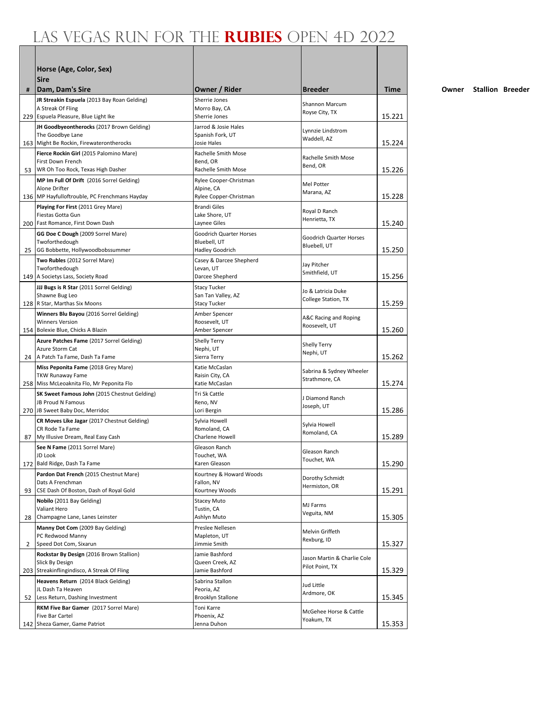|    | Horse (Age, Color, Sex)<br><b>Sire</b>                                                |                                               |                                            |        |
|----|---------------------------------------------------------------------------------------|-----------------------------------------------|--------------------------------------------|--------|
| #  | Dam, Dam's Sire                                                                       | Owner / Rider                                 | <b>Breeder</b>                             | Time   |
|    | JR Streakin Espuela (2013 Bay Roan Gelding)<br>A Streak Of Fling                      | Sherrie Jones<br>Morro Bay, CA                | <b>Shannon Marcum</b>                      |        |
|    | 229 Espuela Pleasure, Blue Light Ike                                                  | Sherrie Jones                                 | Royse City, TX                             | 15.221 |
|    | JH Goodbyeontherocks (2017 Brown Gelding)                                             | Jarrod & Josie Hales                          | Lynnzie Lindstrom                          |        |
|    | The Goodbye Lane                                                                      | Spanish Fork, UT                              | Waddell, AZ                                |        |
|    | 163 Might Be Rockin, Firewaterontherocks                                              | Josie Hales                                   |                                            | 15.224 |
|    | Fierce Rockin Girl (2015 Palomino Mare)<br>First Down French                          | Rachelle Smith Mose<br>Bend, OR               | Rachelle Smith Mose                        |        |
|    | 53 WR Oh Too Rock, Texas High Dasher                                                  | Rachelle Smith Mose                           | Bend, OR                                   | 15.226 |
|    | MP Im Full Of Drift (2016 Sorrel Gelding)                                             | Rylee Cooper-Christman                        | Mel Potter                                 |        |
|    | Alone Drifter                                                                         | Alpine, CA                                    | Marana, AZ                                 |        |
|    | 136   MP Hayfulloftrouble, PC Frenchmans Hayday<br>Playing For First (2011 Grey Mare) | Rylee Copper-Christman<br><b>Brandi Giles</b> |                                            | 15.228 |
|    | Fiestas Gotta Gun                                                                     | Lake Shore, UT                                | Royal D Ranch                              |        |
|    | 200 Fast Romance, First Down Dash                                                     | Laynee Giles                                  | Henrietta, TX                              | 15.240 |
|    | GG Doe C Dough (2009 Sorrel Mare)                                                     | Goodrich Quarter Horses                       | Goodrich Quarter Horses                    |        |
|    | Twoforthedough                                                                        | Bluebell, UT                                  | Bluebell, UT                               | 15.250 |
|    | 25 GG Bobbette, Hollywoodbobssummer<br>Two Rubles (2012 Sorrel Mare)                  | Hadley Goodrich<br>Casey & Darcee Shepherd    |                                            |        |
|    | Twoforthedough                                                                        | Levan, UT                                     | Jay Pitcher                                |        |
|    | 149   A Societys Lass, Society Road                                                   | Darcee Shepherd                               | Smithfield, UT                             | 15.256 |
|    | JJJ Bugs is R Star (2011 Sorrel Gelding)                                              | <b>Stacy Tucker</b>                           | Jo & Latricia Duke                         |        |
|    | Shawne Bug Leo<br>128 R Star, Marthas Six Moons                                       | San Tan Valley, AZ<br><b>Stacy Tucker</b>     | College Station, TX                        | 15.259 |
|    | Winners Blu Bayou (2016 Sorrel Gelding)                                               | Amber Spencer                                 |                                            |        |
|    | <b>Winners Version</b>                                                                | Roosevelt, UT                                 | A&C Racing and Roping                      |        |
|    | 154 Bolexie Blue, Chicks A Blazin                                                     | Amber Spencer                                 | Roosevelt, UT                              | 15.260 |
|    | Azure Patches Fame (2017 Sorrel Gelding)                                              | <b>Shelly Terry</b>                           | Shelly Terry                               |        |
|    | Azure Storm Cat<br>24   A Patch Ta Fame, Dash Ta Fame                                 | Nephi, UT<br>Sierra Terry                     | Nephi, UT                                  | 15.262 |
|    | Miss Peponita Fame (2018 Grey Mare)                                                   | Katie McCaslan                                |                                            |        |
|    | <b>TKW Runaway Fame</b>                                                               | Raisin City, CA                               | Sabrina & Sydney Wheeler<br>Strathmore, CA |        |
|    | 258   Miss McLeoaknita Flo, Mr Peponita Flo                                           | Katie McCaslan                                |                                            | 15.274 |
|    | SK Sweet Famous John (2015 Chestnut Gelding)<br>JB Proud N Famous                     | Tri Sk Cattle<br>Reno, NV                     | J Diamond Ranch                            |        |
|    | 270 JB Sweet Baby Doc, Merridoc                                                       | Lori Bergin                                   | Joseph, UT                                 | 15.286 |
|    | CR Moves Like Jagar (2017 Chestnut Gelding)                                           | Sylvia Howell                                 |                                            |        |
|    | CR Rode Ta Fame                                                                       | Romoland, CA                                  | Sylvia Howell<br>Romoland, CA              |        |
| 87 | My Illusive Dream, Real Easy Cash                                                     | Charlene Howell                               |                                            | 15.289 |
|    | See N Fame (2011 Sorrel Mare)<br>JD Look                                              | Gleason Ranch<br>Touchet, WA                  | Gleason Ranch                              |        |
|    | 172 Bald Ridge, Dash Ta Fame                                                          | Karen Gleason                                 | Touchet, WA                                | 15.290 |
|    | Pardon Dat French (2015 Chestnut Mare)                                                | Kourtney & Howard Woods                       | Dorothy Schmidt                            |        |
|    | Dats A Frenchman                                                                      | Fallon, NV                                    | Hermiston, OR                              |        |
| 93 | CSE Dash Of Boston, Dash of Royal Gold                                                | Kourtney Woods<br>Stacey Muto                 |                                            | 15.291 |
|    | Nobilo (2011 Bay Gelding)<br>Valiant Hero                                             | Tustin, CA                                    | MJ Farms                                   |        |
| 28 | Champagne Lane, Lanes Leinster                                                        | Ashlyn Muto                                   | Veguita, NM                                | 15.305 |
|    | Manny Dot Com (2009 Bay Gelding)                                                      | Preslee Nellesen                              | Melvin Griffeth                            |        |
| 2  | PC Redwood Manny                                                                      | Mapleton, UT<br>Jimmie Smith                  | Rexburg, ID                                | 15.327 |
|    | Speed Dot Com, Sixarun<br>Rockstar By Design (2016 Brown Stallion)                    | Jamie Bashford                                |                                            |        |
|    | Slick By Design                                                                       | Queen Creek, AZ                               | Jason Martin & Charlie Cole                |        |
|    | 203 Streakinflingindisco, A Streak Of Fling                                           | Jamie Bashford                                | Pilot Point, TX                            | 15.329 |
|    | Heavens Return (2014 Black Gelding)                                                   | Sabrina Stallon                               | Jud Little                                 |        |
|    | JL Dash Ta Heaven<br>52 Less Return, Dashing Investment                               | Peoria, AZ<br><b>Brooklyn Stallone</b>        | Ardmore, OK                                | 15.345 |
|    | RKM Five Bar Gamer (2017 Sorrel Mare)                                                 | Toni Karre                                    |                                            |        |
|    | Five Bar Cartel                                                                       | Phoenix, AZ                                   | McGehee Horse & Cattle                     |        |
|    | 142 Sheza Gamer, Game Patriot                                                         | Jenna Duhon                                   | Yoakum, TX                                 | 15.353 |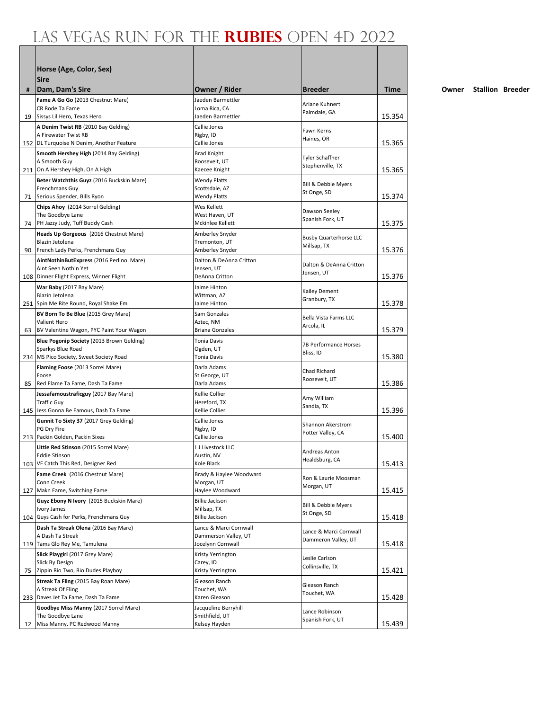|     | Horse (Age, Color, Sex)<br><b>Sire</b>                                        |                                           |                                        |             |
|-----|-------------------------------------------------------------------------------|-------------------------------------------|----------------------------------------|-------------|
| #   | Dam, Dam's Sire                                                               | Owner / Rider                             | <b>Breeder</b>                         | <b>Time</b> |
|     | Fame A Go Go (2013 Chestnut Mare)                                             | Jaeden Barmettler                         | Ariane Kuhnert                         |             |
|     | CR Rode Ta Fame<br>19 Sissys Lil Hero, Texas Hero                             | Loma Rica. CA<br>Jaeden Barmettler        | Palmdale, GA                           | 15.354      |
|     | A Denim Twist RB (2010 Bay Gelding)                                           | Callie Jones                              |                                        |             |
|     | A Firewater Twist RB                                                          | Rigby, ID                                 | Fawn Kerns<br>Haines, OR               |             |
|     | 152 DL Turquoise N Denim, Another Feature                                     | Callie Jones                              |                                        | 15.365      |
|     | Smooth Hershey High (2014 Bay Gelding)                                        | <b>Brad Knight</b>                        | Tyler Schaffner                        |             |
|     | A Smooth Guy<br>211 On A Hershey High, On A High                              | Roosevelt, UT<br>Kaecee Knight            | Stephenville, TX                       | 15.365      |
|     | Beter Watchthis Guyz (2016 Buckskin Mare)                                     | <b>Wendy Platts</b>                       |                                        |             |
|     | Frenchmans Guy                                                                | Scottsdale, AZ                            | Bill & Debbie Myers<br>St Onge, SD     |             |
|     | 71 Serious Spender, Bills Ryon                                                | <b>Wendy Platts</b>                       |                                        | 15.374      |
|     | Chips Ahoy (2014 Sorrel Gelding)<br>The Goodbye Lane                          | Wes Kellett<br>West Haven, UT             | Dawson Seeley                          |             |
|     | 74 PH Jazzy Judy, Tuff Buddy Cash                                             | Mckinlee Kellett                          | Spanish Fork, UT                       | 15.375      |
|     | Heads Up Gorgeous (2016 Chestnut Mare)                                        | Amberley Snyder                           | <b>Busby Quarterhorse LLC</b>          |             |
|     | Blazin Jetolena                                                               | Tremonton, UT                             | Millsap, TX                            |             |
|     | 90 French Lady Perks, Frenchmans Guy                                          | Amberley Snyder                           |                                        | 15.376      |
|     | AintNothinButExpress (2016 Perlino Mare)<br>Aint Seen Nothin Yet              | Dalton & DeAnna Critton<br>Jensen, UT     | Dalton & DeAnna Critton                |             |
|     | 108   Dinner Flight Express, Winner Flight                                    | <b>DeAnna Critton</b>                     | Jensen, UT                             | 15.376      |
|     | War Baby (2017 Bay Mare)                                                      | Jaime Hinton                              | Kailey Dement                          |             |
|     | Blazin Jetolena                                                               | Wittman, AZ                               | Granbury, TX                           | 15.378      |
|     | 251 Spin Me Rite Round, Royal Shake Em<br>BV Born To Be Blue (2015 Grey Mare) | Jaime Hinton<br>Sam Gonzales              |                                        |             |
|     | Valient Hero                                                                  | Aztec, NM                                 | Bella Vista Farms LLC                  |             |
|     | 63 BV Valentine Wagon, PYC Paint Your Wagon                                   | <b>Briana Gonzales</b>                    | Arcola, IL                             | 15.379      |
|     | Blue Pogonip Society (2013 Brown Gelding)                                     | <b>Tonia Davis</b>                        | 7B Performance Horses                  |             |
|     | Sparkys Blue Road<br>234 MS Pico Society, Sweet Society Road                  | Ogden, UT<br><b>Tonia Davis</b>           | Bliss, ID                              | 15.380      |
|     | Flaming Foose (2013 Sorrel Mare)                                              | Darla Adams                               |                                        |             |
|     | Foose                                                                         | St George, UT                             | Chad Richard<br>Roosevelt, UT          |             |
| 85  | Red Flame Ta Fame, Dash Ta Fame                                               | Darla Adams                               |                                        | 15.386      |
|     | Jessafamoustraficguy (2017 Bay Mare)<br><b>Traffic Guy</b>                    | Kellie Collier<br>Hereford, TX            | Amy William                            |             |
|     | 145 Jess Gonna Be Famous, Dash Ta Fame                                        | Kellie Collier                            | Sandia, TX                             | 15.396      |
|     | Gunnit To Sixty 37 (2017 Grey Gelding)                                        | Callie Jones                              |                                        |             |
|     | PG Dry Fire                                                                   | Rigby, ID                                 | Shannon Akerstrom<br>Potter Valley, CA |             |
|     | 213   Packin Golden, Packin Sixes                                             | Callie Jones                              |                                        | 15.400      |
|     | Little Red Stinson (2015 Sorrel Mare)<br>Eddie Stinson                        | L J Livestock LLC<br>Austin, NV           | Andreas Anton                          |             |
| 103 | VF Catch This Red, Designer Red                                               | Kole Black                                | Healdsburg, CA                         | 15.413      |
|     | Fame Creek (2016 Chestnut Mare)                                               | Brady & Haylee Woodward                   | Ron & Laurie Moosman                   |             |
|     | Conn Creek                                                                    | Morgan, UT                                | Morgan, UT                             |             |
|     | 127 Makn Fame, Switching Fame<br>Guyz Ebony N Ivory (2015 Buckskin Mare)      | Haylee Woodward<br><b>Billie Jackson</b>  |                                        | 15.415      |
|     | Ivory James                                                                   | Millsap, TX                               | Bill & Debbie Myers                    |             |
|     | 104 Guys Cash for Perks, Frenchmans Guy                                       | <b>Billie Jackson</b>                     | St Onge, SD                            | 15.418      |
|     | Dash Ta Streak Olena (2016 Bay Mare)                                          | Lance & Marci Cornwall                    | Lance & Marci Cornwall                 |             |
|     | A Dash Ta Streak<br>119 Tams Glo Rey Me, Tamulena                             | Dammerson Valley, UT<br>Jocelynn Cornwall | Dammeron Valley, UT                    | 15.418      |
|     | Slick Playgirl (2017 Grey Mare)                                               | Kristy Yerrington                         |                                        |             |
|     | Slick By Design                                                               | Carey, ID                                 | Leslie Carlson<br>Collinsville, TX     |             |
| 75  | Zippin Rio Two, Rio Dudes Playboy                                             | Kristy Yerrington                         |                                        | 15.421      |
|     | Streak Ta Fling (2015 Bay Roan Mare)                                          | Gleason Ranch                             | Gleason Ranch                          |             |
|     | A Streak Of Fling<br>233 Daves Jet Ta Fame, Dash Ta Fame                      | Touchet, WA<br>Karen Gleason              | Touchet, WA                            | 15.428      |
|     | Goodbye Miss Manny (2017 Sorrel Mare)                                         | Jacqueline Berryhill                      |                                        |             |
|     | The Goodbye Lane                                                              | Smithfield, UT                            | Lance Robinson<br>Spanish Fork, UT     |             |
| 12  | Miss Manny, PC Redwood Manny                                                  | Kelsey Hayden                             |                                        | 15.439      |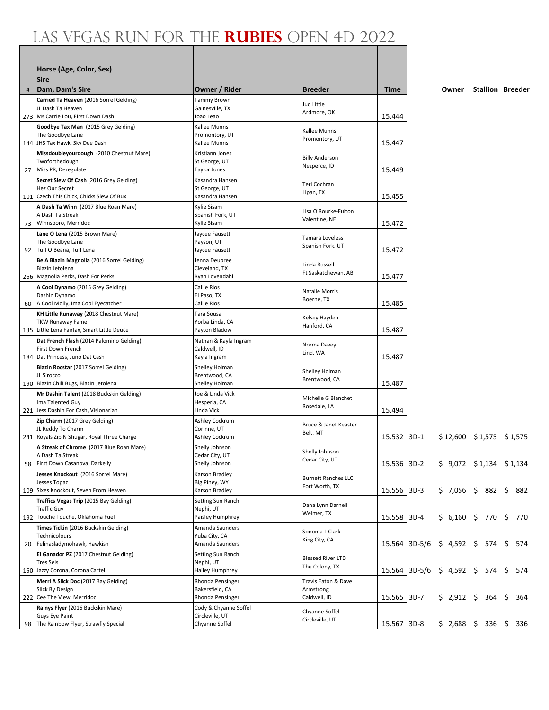|    | Horse (Age, Color, Sex)<br><b>Sire</b>                                                                                                                |                                                               |                                                  |                  |        |                                      |                         |            |
|----|-------------------------------------------------------------------------------------------------------------------------------------------------------|---------------------------------------------------------------|--------------------------------------------------|------------------|--------|--------------------------------------|-------------------------|------------|
| #  | Dam, Dam's Sire                                                                                                                                       | Owner / Rider                                                 | <b>Breeder</b>                                   | <b>Time</b>      |        | Owner                                | <b>Stallion Breeder</b> |            |
|    | Carried Ta Heaven (2016 Sorrel Gelding)<br>JL Dash Ta Heaven<br>273   Ms Carrie Lou, First Down Dash                                                  | Tammy Brown<br>Gainesville, TX<br>Joao Leao                   | Jud Little<br>Ardmore, OK                        | 15.444           |        |                                      |                         |            |
|    | Goodbye Tax Man (2015 Grey Gelding)<br>The Goodbye Lane<br>144 JHS Tax Hawk, Sky Dee Dash                                                             | Kallee Munns<br>Promontory, UT<br>Kallee Munns                | Kallee Munns<br>Promontory, UT                   | 15.447           |        |                                      |                         |            |
| 27 | Missdoubleyourdough (2010 Chestnut Mare)<br>Twoforthedough<br>Miss PR, Deregulate                                                                     | Kristiann Jones<br>St George, UT<br>Taylor Jones              | <b>Billy Anderson</b><br>Nezperce, ID            | 15.449           |        |                                      |                         |            |
|    | Secret Slew Of Cash (2016 Grey Gelding)<br>Hez Our Secret<br>101 Czech This Chick, Chicks Slew Of Bux                                                 | Kasandra Hansen<br>St George, UT<br>Kasandra Hansen           | Teri Cochran<br>Lipan, TX                        | 15.455           |        |                                      |                         |            |
| 73 | A Dash Ta Winn (2017 Blue Roan Mare)<br>A Dash Ta Streak<br>Winnsboro, Merridoc                                                                       | Kylie Sisam<br>Spanish Fork, UT<br>Kylie Sisam                | Lisa O'Rourke-Fulton<br>Valentine, NE            | 15.472           |        |                                      |                         |            |
|    | Lane O Lena (2015 Brown Mare)<br>The Goodbye Lane                                                                                                     | Jaycee Fausett<br>Payson, UT                                  | Tamara Loveless<br>Spanish Fork, UT              |                  |        |                                      |                         |            |
| 92 | Tuff O Beana, Tuff Lena<br>Be A Blazin Magnolia (2016 Sorrel Gelding)<br>Blazin Jetolena                                                              | Jaycee Fausett<br>Jenna Deupree<br>Cleveland, TX              | Linda Russell<br>Ft Saskatchewan, AB             | 15.472           |        |                                      |                         |            |
|    | 266   Magnolia Perks, Dash For Perks<br>A Cool Dynamo (2015 Grey Gelding)<br>Dashin Dynamo                                                            | Ryan Lovendahl<br>Callie Rios<br>El Paso, TX                  | Natalie Morris<br>Boerne, TX                     | 15.477           |        |                                      |                         |            |
| 60 | A Cool Molly, Ima Cool Eyecatcher<br>KH Little Runaway (2018 Chestnut Mare)<br><b>TKW Runaway Fame</b><br>135 Little Lena Fairfax, Smart Little Deuce | Callie Rios<br>Tara Sousa<br>Yorba Linda, CA<br>Payton Bladow | Kelsey Hayden<br>Hanford, CA                     | 15.485<br>15.487 |        |                                      |                         |            |
|    | Dat French Flash (2014 Palomino Gelding)<br>First Down French<br>184   Dat Princess, Juno Dat Cash                                                    | Nathan & Kayla Ingram<br>Caldwell, ID<br>Kayla Ingram         | Norma Davey<br>Lind, WA                          | 15.487           |        |                                      |                         |            |
|    | Blazin Rocstar (2017 Sorrel Gelding)<br>JL Sirocco<br>190 Blazin Chili Bugs, Blazin Jetolena                                                          | Shelley Holman<br>Brentwood, CA<br>Shelley Holman             | Shelley Holman<br>Brentwood, CA                  | 15.487           |        |                                      |                         |            |
|    | Mr Dashin Talent (2018 Buckskin Gelding)<br>Ima Talented Guy<br>221 Jess Dashin For Cash, Visionarian                                                 | Joe & Linda Vick<br>Hesperia, CA<br>Linda Vick                | Michelle G Blanchet<br>Rosedale, LA              | 15.494           |        |                                      |                         |            |
|    | Zip Charm (2017 Grey Gelding)<br>JL Reddy To Charm<br>241 Royals Zip N Shugar, Royal Three Charge                                                     | Ashley Cockrum<br>Corinne, UT<br>Ashley Cockrum               | Bruce & Janet Keaster<br>Belt, MT                | 15.532 3D-1      |        | $$12,600$ $$1,575$ $$1,575$          |                         |            |
|    | A Streak of Chrome (2017 Blue Roan Mare)<br>A Dash Ta Streak<br>58 First Down Casanova, Darkelly                                                      | Shelly Johnson<br>Cedar City, UT<br>Shelly Johnson            | Shelly Johnson<br>Cedar City, UT                 | 15.536 3D-2      |        | $$9,072$ $$1,134$ $$1,134$           |                         |            |
|    | Jesses Knockout (2016 Sorrel Mare)<br>Jesses Topaz<br>109 Sixes Knockout, Seven From Heaven                                                           | Karson Bradley<br>Big Piney, WY<br>Karson Bradley             | <b>Burnett Ranches LLC</b><br>Fort Worth, TX     | 15.556 3D-3      |        | $$7,056$$ \$ 882 \$                  |                         | 882        |
|    | Traffics Vegas Trip (2015 Bay Gelding)<br><b>Traffic Guy</b><br>192 Touche Touche, Oklahoma Fuel                                                      | Setting Sun Ranch<br>Nephi, UT<br>Paisley Humphrey            | Dana Lynn Darnell<br>Welmer, TX                  | 15.558 3D-4      |        | \$ 6,160 \$ 770 \$ 770               |                         |            |
|    | Times Tickin (2016 Buckskin Gelding)<br>Technicolours<br>20 Felinasladymohawk, Hawkish                                                                | Amanda Saunders<br>Yuba City, CA<br>Amanda Saunders           | Sonoma L Clark<br>King City, CA                  | 15.564           |        | $ 3D-5/6 \t5 4,592 \t5 574 \t5$      |                         | 574        |
|    | El Ganador PZ (2017 Chestnut Gelding)<br><b>Tres Seis</b><br>150 Jazzy Corona, Corona Cartel                                                          | Setting Sun Ranch<br>Nephi, UT<br>Hailey Humphrey             | <b>Blessed River LTD</b><br>The Colony, TX       |                  |        | 15.564 3D-5/6 \$ 4,592 \$ 574 \$ 574 |                         |            |
|    | Merri A Slick Doc (2017 Bay Gelding)<br>Slick By Design<br>222 Cee The View, Merridoc                                                                 | Rhonda Pensinger<br>Bakersfield, CA<br>Rhonda Pensinger       | Travis Eaton & Dave<br>Armstrong<br>Caldwell, ID | 15.565           | $3D-7$ | \$2,912\$                            | 364                     | \$.<br>364 |
|    | Rainys Flyer (2016 Buckskin Mare)<br>Guys Eye Paint                                                                                                   | Cody & Chyanne Soffel<br>Circleville, UT                      | Chyanne Soffel<br>Circleville, UT                |                  |        |                                      |                         |            |
| 98 | The Rainbow Flyer, Strawfly Special                                                                                                                   | Chyanne Soffel                                                |                                                  | 15.567 3D-8      |        | $$2,688$ \$ 336 \$ 336               |                         |            |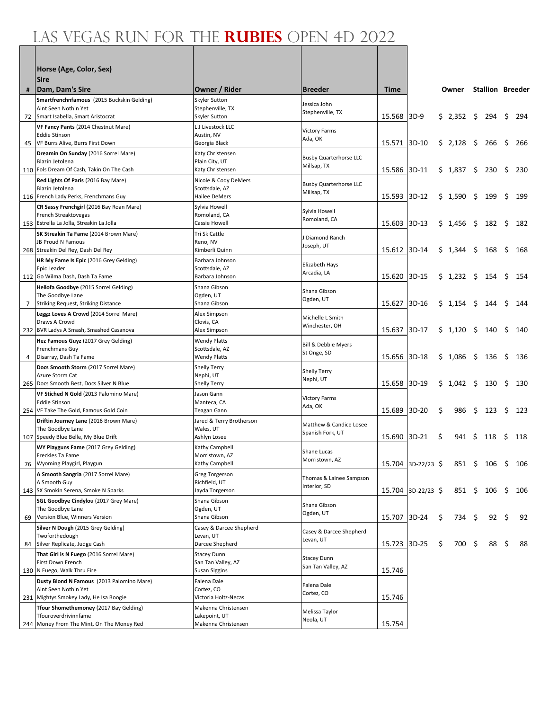|             | Horse (Age, Color, Sex)<br><b>Sire</b>                                           |                                             |                                               |              |                      |     |           |      |                         |     |      |
|-------------|----------------------------------------------------------------------------------|---------------------------------------------|-----------------------------------------------|--------------|----------------------|-----|-----------|------|-------------------------|-----|------|
| #           | Dam, Dam's Sire                                                                  | Owner / Rider                               | <b>Breeder</b>                                | <b>Time</b>  |                      |     | Owner     |      | <b>Stallion Breeder</b> |     |      |
|             | Smartfrenchnfamous (2015 Buckskin Gelding)<br>Aint Seen Nothin Yet               | Skyler Sutton<br>Stephenville, TX           | Jessica John<br>Stephenville, TX              |              |                      |     |           |      |                         |     |      |
|             | 72 Smart Isabella, Smart Aristocrat                                              | Skyler Sutton                               |                                               | 15.568 3D-9  |                      |     | \$2,352\$ |      | 294                     | \$. | 294  |
|             | VF Fancy Pants (2014 Chestnut Mare)<br><b>Eddie Stinson</b>                      | L J Livestock LLC<br>Austin, NV             | <b>Victory Farms</b>                          |              |                      |     |           |      |                         |     |      |
|             | 45 VF Burrs Alive, Burrs First Down                                              | Georgia Black                               | Ada, OK                                       | 15.571 3D-10 |                      |     | \$2,128   | - \$ | 266                     | \$. | 266  |
|             | Dreamin On Sunday (2016 Sorrel Mare)                                             | Katy Christensen                            | <b>Busby Quarterhorse LLC</b>                 |              |                      |     |           |      |                         |     |      |
|             | Blazin Jetolena<br>110 Fols Dream Of Cash, Takin On The Cash                     | Plain City, UT<br>Katy Christensen          | Millsap, TX                                   | 15.586 3D-11 |                      |     | \$1,837   | \$.  | 230                     | \$  | 230  |
|             | Red Lights Of Paris (2016 Bay Mare)                                              | Nicole & Cody DeMers                        |                                               |              |                      |     |           |      |                         |     |      |
|             | Blazin Jetolena                                                                  | Scottsdale, AZ                              | <b>Busby Quarterhorse LLC</b><br>Millsap, TX  |              |                      |     |           |      |                         |     |      |
|             | 116 French Lady Perks, Frenchmans Guy                                            | Hailee DeMers                               |                                               | 15.593 3D-12 |                      |     | \$1,590   | S    | 199                     | \$  | 199  |
|             | CR Sassy Frenchgirl (2016 Bay Roan Mare)<br>French Streaktovegas                 | Sylvia Howell<br>Romoland, CA               | Sylvia Howell                                 |              |                      |     |           |      |                         |     |      |
|             | 153 Estrella La Jolla, Streakin La Jolla                                         | Cassie Howell                               | Romoland, CA                                  | 15.603 3D-13 |                      |     | \$1,456   | \$   | 182                     | \$. | 182  |
|             | SK Streakin Ta Fame (2014 Brown Mare)                                            | Tri Sk Cattle                               | J Diamond Ranch                               |              |                      |     |           |      |                         |     |      |
|             | JB Proud N Famous                                                                | Reno, NV                                    | Joseph, UT                                    | 15.612 3D-14 |                      |     | \$1,344   | \$   | 168                     | \$  | 168  |
|             | 268 Streakin Del Rey, Dash Del Rey<br>HR My Fame Is Epic (2016 Grey Gelding)     | Kimberli Quinn<br>Barbara Johnson           |                                               |              |                      |     |           |      |                         |     |      |
|             | Epic Leader                                                                      | Scottsdale, AZ                              | Elizabeth Hays<br>Arcadia, LA                 |              |                      |     |           |      |                         |     |      |
|             | 112 Go Wilma Dash, Dash Ta Fame                                                  | Barbara Johnson                             |                                               | 15.620 3D-15 |                      |     | \$1,232   | \$   | 154                     | \$  | 154  |
|             | Hellofa Goodbye (2015 Sorrel Gelding)<br>The Goodbye Lane                        | Shana Gibson<br>Ogden, UT                   | Shana Gibson                                  |              |                      |     |           |      |                         |     |      |
| $7^{\circ}$ | <b>Striking Request, Striking Distance</b>                                       | Shana Gibson                                | Ogden, UT                                     | 15.627 3D-16 |                      |     | \$1,154   | \$   | 144                     | Ś   | 144  |
|             | Leggz Loves A Crowd (2014 Sorrel Mare)                                           | Alex Simpson                                | Michelle L Smith                              |              |                      |     |           |      |                         |     |      |
|             | Draws A Crowd<br>232 BVR Ladys A Smash, Smashed Casanova                         | Clovis, CA<br>Alex Simpson                  | Winchester, OH                                | 15.637 3D-17 |                      |     | \$1,120   | \$   | 140                     | \$  | 140  |
|             | Hez Famous Guyz (2017 Grey Gelding)                                              | <b>Wendy Platts</b>                         |                                               |              |                      |     |           |      |                         |     |      |
|             | Frenchmans Guy                                                                   | Scottsdale, AZ                              | <b>Bill &amp; Debbie Myers</b><br>St Onge, SD |              |                      |     |           |      |                         |     |      |
| 4           | Disarray, Dash Ta Fame                                                           | <b>Wendy Platts</b>                         |                                               | 15.656 3D-18 |                      |     | \$1,086   | \$   | 136                     | \$  | 136  |
|             | Docs Smooth Storm (2017 Sorrel Mare)<br>Azure Storm Cat                          | Shelly Terry<br>Nephi, UT                   | Shelly Terry                                  |              |                      |     |           |      |                         |     |      |
|             | 265 Docs Smooth Best, Docs Silver N Blue                                         | Shelly Terry                                | Nephi, UT                                     | 15.658 3D-19 |                      |     | \$1,042   | \$   | 130                     | \$  | 130  |
|             | VF Stiched N Gold (2013 Palomino Mare)                                           | Jason Gann                                  | <b>Victory Farms</b>                          |              |                      |     |           |      |                         |     |      |
|             | <b>Eddie Stinson</b><br>254 VF Take The Gold, Famous Gold Coin                   | Manteca, CA<br>Teagan Gann                  | Ada, OK                                       | 15.689       | 3D-20                | \$  | 986       | \$   | 123                     | \$  | -123 |
|             | Driftin Journey Lane (2016 Brown Mare)                                           | Jared & Terry Brotherson                    |                                               |              |                      |     |           |      |                         |     |      |
|             | The Goodbye Lane                                                                 | Wales, UT                                   | Matthew & Candice Losee<br>Spanish Fork, UT   |              |                      |     |           |      |                         |     |      |
|             | 107 Speedy Blue Belle, My Blue Drift                                             | Ashlyn Losee                                |                                               | 15.690 3D-21 |                      | \$  | 941       | S.   | 118                     | \$  | 118  |
|             | WY Playguns Fame (2017 Grey Gelding)<br>Freckles Ta Fame                         | Kathy Campbell<br>Morristown, AZ            | Shane Lucas                                   |              |                      |     |           |      |                         |     |      |
|             | 76 Wyoming Playgirl, Playgun                                                     | Kathy Campbell                              | Morristown, AZ                                |              | $15.704$ 3D-22/23 \$ |     |           |      | 851 \$ 106 \$           |     | 106  |
|             | A Smooth Sangria (2017 Sorrel Mare)                                              | Greg Torgerson                              | Thomas & Lainee Sampson                       |              |                      |     |           |      |                         |     |      |
|             | A Smooth Guy<br>143 SX Smokin Serena, Smoke N Sparks                             | Richfield, UT<br>Jayda Torgerson            | Interior, SD                                  |              | 15.704 3D-22/23 \$   |     | 851 \$    |      | 106                     | \$  | 106  |
|             | SGL Goodbye Cindylou (2017 Grey Mare)                                            | Shana Gibson                                |                                               |              |                      |     |           |      |                         |     |      |
|             | The Goodbye Lane                                                                 | Ogden, UT                                   | Shana Gibson<br>Ogden, UT                     |              |                      |     |           |      |                         |     |      |
| 69          | Version Blue, Winners Version                                                    | Shana Gibson<br>Casey & Darcee Shepherd     |                                               | 15.707 3D-24 |                      | \$  | 734       | - \$ | 92                      | \$  | 92   |
|             | Silver N Dough (2015 Grey Gelding)<br>Twoforthedough                             | Levan, UT                                   | Casey & Darcee Shepherd                       |              |                      |     |           |      |                         |     |      |
| 84          | Silver Replicate, Judge Cash                                                     | Darcee Shepherd                             | Levan, UT                                     | 15.723 3D-25 |                      | \$. | 700       | - \$ | 88                      | \$  | 88   |
|             | That Girl is N Fuego (2016 Sorrel Mare)                                          | <b>Stacey Dunn</b>                          | <b>Stacey Dunn</b>                            |              |                      |     |           |      |                         |     |      |
|             | First Down French<br>130 N Fuego, Walk Thru Fire                                 | San Tan Valley, AZ<br>Susan Siggins         | San Tan Valley, AZ                            | 15.746       |                      |     |           |      |                         |     |      |
|             | Dusty Blond N Famous (2013 Palomino Mare)                                        | Falena Dale                                 |                                               |              |                      |     |           |      |                         |     |      |
|             | Aint Seen Nothin Yet                                                             | Cortez, CO                                  | Falena Dale<br>Cortez, CO                     |              |                      |     |           |      |                         |     |      |
|             | 231 Mightys Smokey Lady, He Isa Boogie<br>Tfour Shomethemoney (2017 Bay Gelding) | Victoria Holtz-Necas<br>Makenna Christensen |                                               | 15.746       |                      |     |           |      |                         |     |      |
|             | Tfouroverdrivinnfame                                                             | Lakepoint, UT                               | Melissa Taylor                                |              |                      |     |           |      |                         |     |      |
|             | 244 Money From The Mint, On The Money Red                                        | Makenna Christensen                         | Neola, UT                                     | 15.754       |                      |     |           |      |                         |     |      |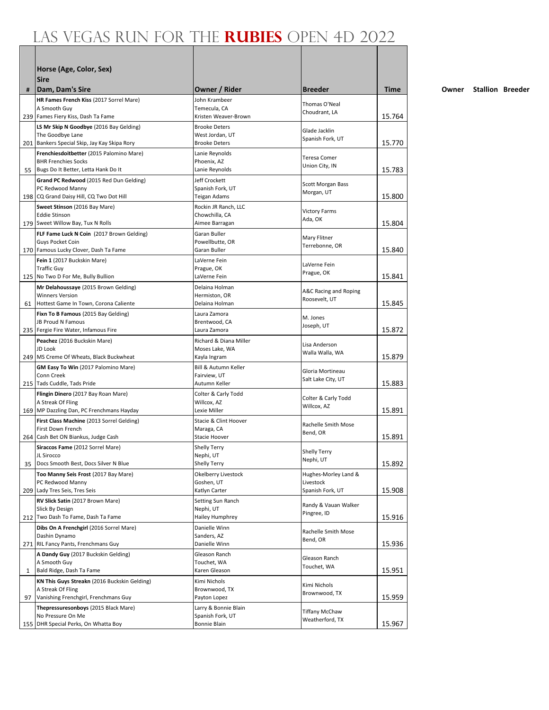|    | Horse (Age, Color, Sex)<br><b>Sire</b>                               |                                         |                                        |        |
|----|----------------------------------------------------------------------|-----------------------------------------|----------------------------------------|--------|
| #  | Dam, Dam's Sire                                                      | Owner / Rider                           | <b>Breeder</b>                         | Time   |
|    | HR Fames French Kiss (2017 Sorrel Mare)                              | John Krambeer                           | Thomas O'Neal                          |        |
|    | A Smooth Guv<br>239 Fames Fiery Kiss, Dash Ta Fame                   | Temecula, CA<br>Kristen Weaver-Brown    | Choudrant, LA                          | 15.764 |
|    | LS Mr Skip N Goodbye (2016 Bay Gelding)                              | <b>Brooke Deters</b>                    |                                        |        |
|    | The Goodbye Lane                                                     | West Jordan, UT                         | Glade Jacklin                          |        |
|    | 201 Bankers Special Skip, Jay Kay Skipa Rory                         | <b>Brooke Deters</b>                    | Spanish Fork, UT                       | 15.770 |
|    | Frenchiesdoitbetter (2015 Palomino Mare)                             | Lanie Reynolds                          | <b>Teresa Comer</b>                    |        |
|    | <b>BHR Frenchies Socks</b><br>55 Bugs Do It Better, Letta Hank Do It | Phoenix, AZ<br>Lanie Reynolds           | Union City, IN                         | 15.783 |
|    | Grand PC Redwood (2015 Red Dun Gelding)                              | Jeff Crockett                           |                                        |        |
|    | PC Redwood Manny                                                     | Spanish Fork, UT                        | Scott Morgan Bass                      |        |
|    | 198 CQ Grand Daisy Hill, CQ Two Dot Hill                             | Teigan Adams                            | Morgan, UT                             | 15.800 |
|    | Sweet Stinson (2016 Bay Mare)                                        | Rockin JR Ranch, LLC                    | <b>Victory Farms</b>                   |        |
|    | <b>Eddie Stinson</b><br>179 Sweet Willow Bay, Tux N Rolls            | Chowchilla, CA<br>Aimee Barragan        | Ada, OK                                | 15.804 |
|    | FLF Fame Luck N Coin (2017 Brown Gelding)                            | Garan Buller                            |                                        |        |
|    | Guys Pocket Coin                                                     | Powellbutte, OR                         | Mary Flitner<br>Terrebonne, OR         |        |
|    | 170 Famous Lucky Clover, Dash Ta Fame                                | Garan Buller                            |                                        | 15.840 |
|    | Fein 1 (2017 Buckskin Mare)                                          | LaVerne Fein                            | LaVerne Fein                           |        |
|    | <b>Traffic Guy</b><br>125 No Two D For Me, Bully Bullion             | Prague, OK<br>LaVerne Fein              | Prague, OK                             | 15.841 |
|    | Mr Delahoussaye (2015 Brown Gelding)                                 | Delaina Holman                          |                                        |        |
|    | <b>Winners Version</b>                                               | Hermiston, OR                           | A&C Racing and Roping<br>Roosevelt, UT |        |
|    | 61 Hottest Game In Town, Corona Caliente                             | Delaina Holman                          |                                        | 15.845 |
|    | Fixn To B Famous (2015 Bay Gelding)<br>JB Proud N Famous             | Laura Zamora                            | M. Jones                               |        |
|    | 235   Fergie Fire Water, Infamous Fire                               | Brentwood, CA<br>Laura Zamora           | Joseph, UT                             | 15.872 |
|    | Peachez (2016 Buckskin Mare)                                         | Richard & Diana Miller                  |                                        |        |
|    | JD Look                                                              | Moses Lake, WA                          | Lisa Anderson<br>Walla Walla, WA       |        |
|    | 249   MS Creme Of Wheats, Black Buckwheat                            | Kayla Ingram                            |                                        | 15.879 |
|    | <b>GM Easy To Win (2017 Palomino Mare)</b><br>Conn Creek             | Bill & Autumn Keller<br>Fairview, UT    | Gloria Mortineau                       |        |
|    | 215 Tads Cuddle, Tads Pride                                          | Autumn Keller                           | Salt Lake City, UT                     | 15.883 |
|    | Flingin Dinero (2017 Bay Roan Mare)                                  | Colter & Carly Todd                     |                                        |        |
|    | A Streak Of Fling                                                    | Willcox, AZ                             | Colter & Carly Todd<br>Willcox, AZ     |        |
|    | 169 MP Dazzling Dan, PC Frenchmans Hayday                            | Lexie Miller                            |                                        | 15.891 |
|    | First Class Machine (2013 Sorrel Gelding)<br>First Down French       | Stacie & Clint Hoover<br>Maraga, CA     | Rachelle Smith Mose                    |        |
|    | 264 Cash Bet ON Biankus, Judge Cash                                  | Stacie Hoover                           | Bend, OR                               | 15.891 |
|    | Siraccos Fame (2012 Sorrel Mare)                                     | <b>Shelly Terry</b>                     | Shelly Terry                           |        |
|    | JL Sirocco                                                           | Nephi, UT                               | Nephi, UT                              |        |
| 35 | Docs Smooth Best, Docs Silver N Blue                                 | <b>Shelly Terry</b>                     |                                        | 15.892 |
|    | Too Manny Seis Frost (2017 Bay Mare)<br>PC Redwood Manny             | Okelberry Livestock<br>Goshen, UT       | Hughes-Morley Land &<br>Livestock      |        |
|    | 209 Lady Tres Seis, Tres Seis                                        | Katlyn Carter                           | Spanish Fork, UT                       | 15.908 |
|    | RV Slick Satin (2017 Brown Mare)                                     | Setting Sun Ranch                       | Randy & Vauan Walker                   |        |
|    | Slick By Design<br>212 Two Dash To Fame, Dash Ta Fame                | Nephi, UT<br>Hailey Humphrey            | Pingree, ID                            |        |
|    | Dibs On A Frenchgirl (2016 Sorrel Mare)                              | Danielle Winn                           |                                        | 15.916 |
|    | Dashin Dynamo                                                        | Sanders, AZ                             | Rachelle Smith Mose                    |        |
|    | 271 RIL Fancy Pants, Frenchmans Guy                                  | Danielle Winn                           | Bend, OR                               | 15.936 |
|    | A Dandy Guy (2017 Buckskin Gelding)                                  | Gleason Ranch                           | Gleason Ranch                          |        |
| 1  | A Smooth Guy<br>Bald Ridge, Dash Ta Fame                             | Touchet, WA<br>Karen Gleason            | Touchet, WA                            | 15.951 |
|    | KN This Guys Streakn (2016 Buckskin Gelding)                         | Kimi Nichols                            |                                        |        |
|    | A Streak Of Fling                                                    | Brownwood, TX                           | Kimi Nichols                           |        |
| 97 | Vanishing Frenchgirl, Frenchmans Guy                                 | Payton Lopez                            | Brownwood, TX                          | 15.959 |
|    | Thepressuresonboys (2015 Black Mare)                                 | Larry & Bonnie Blain                    | <b>Tiffany McChaw</b>                  |        |
|    | No Pressure On Me<br>155 DHR Special Perks, On Whatta Boy            | Spanish Fork, UT<br><b>Bonnie Blain</b> | Weatherford, TX                        | 15.967 |
|    |                                                                      |                                         |                                        |        |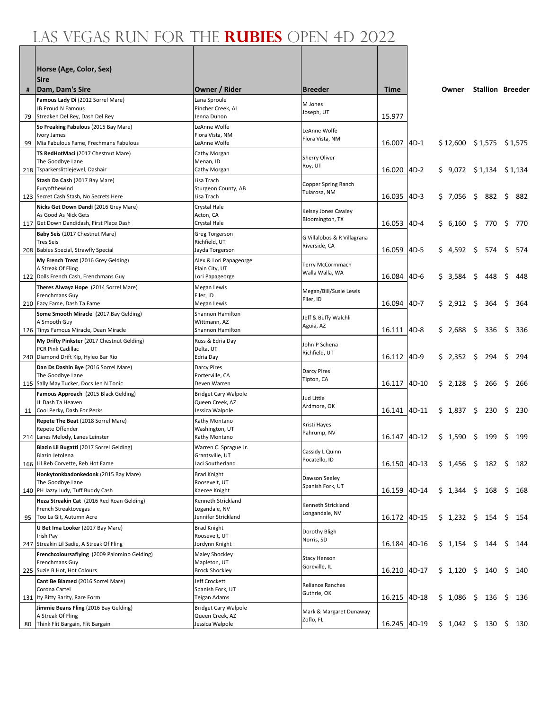|    | Horse (Age, Color, Sex)<br><b>Sire</b>                                      |                                          |                                      |              |        |                             |                         |     |     |     |
|----|-----------------------------------------------------------------------------|------------------------------------------|--------------------------------------|--------------|--------|-----------------------------|-------------------------|-----|-----|-----|
| #  | Dam, Dam's Sire                                                             | Owner / Rider                            | <b>Breeder</b>                       | Time         |        | Owner                       | <b>Stallion Breeder</b> |     |     |     |
|    | Famous Lady Di (2012 Sorrel Mare)                                           | Lana Sproule                             | M Jones                              |              |        |                             |                         |     |     |     |
|    | JB Proud N Famous                                                           | Pincher Creek, AL                        | Joseph, UT                           |              |        |                             |                         |     |     |     |
| 79 | Streaken Del Rey, Dash Del Rey                                              | Jenna Duhon                              |                                      | 15.977       |        |                             |                         |     |     |     |
|    | So Freaking Fabulous (2015 Bay Mare)<br>Ivory James                         | LeAnne Wolfe<br>Flora Vista, NM          | LeAnne Wolfe                         |              |        |                             |                         |     |     |     |
| 99 | Mia Fabulous Fame, Frechmans Fabulous                                       | LeAnne Wolfe                             | Flora Vista, NM                      | 16.007       | $4D-1$ | $$12,600$ $$1,575$ $$1,575$ |                         |     |     |     |
|    | TS RedHotMaci (2017 Chestnut Mare)                                          | Cathy Morgan                             | Sherry Oliver                        |              |        |                             |                         |     |     |     |
|    | The Goodbye Lane<br>218 Tsparkerslittlejewel, Dashair                       | Menan, ID<br>Cathy Morgan                | Roy, UT                              | 16.020       | $4D-2$ | $$9,072$ $$1,134$ $$1,134$  |                         |     |     |     |
|    | Stash Da Cash (2017 Bay Mare)                                               | Lisa Trach                               |                                      |              |        |                             |                         |     |     |     |
|    | Furyofthewind                                                               | Sturgeon County, AB                      | Copper Spring Ranch<br>Tularosa, NM  |              |        |                             |                         |     |     |     |
|    | 123 Secret Cash Stash, No Secrets Here                                      | Lisa Trach                               |                                      | 16.035       | $4D-3$ | \$7,056                     | \$                      | 882 | \$  | 882 |
|    | Nicks Get Down Dandi (2016 Grey Mare)<br>As Good As Nick Gets               | Crystal Hale<br>Acton, CA                | Kelsey Jones Cawley                  |              |        |                             |                         |     |     |     |
|    | 117 Get Down Dandidash, First Place Dash                                    | Crystal Hale                             | Bloomington, TX                      | 16.053       | $4D-4$ | \$ 6,160 \$ 770             |                         |     | Ŝ.  | 770 |
|    | Baby Seis (2017 Chestnut Mare)                                              | Greg Torgerson                           | G Villalobos & R Villagrana          |              |        |                             |                         |     |     |     |
|    | <b>Tres Seis</b>                                                            | Richfield, UT                            | Riverside, CA                        |              |        |                             |                         |     |     |     |
|    | 208 Babies Special, Strawfly Special<br>My French Treat (2016 Grey Gelding) | Jayda Torgerson                          |                                      | 16.059       | $4D-5$ | \$4,592                     | \$574                   |     | \$  | 574 |
|    | A Streak Of Fling                                                           | Alex & Lori Papageorge<br>Plain City, UT | Terry McCormmach                     |              |        |                             |                         |     |     |     |
|    | 122 Dolls French Cash, Frenchmans Guy                                       | Lori Papageorge                          | Walla Walla, WA                      | 16.084       | $4D-6$ | \$3.584                     | \$                      | 448 | \$  | 448 |
|    | Theres Alwayz Hope (2014 Sorrel Mare)                                       | Megan Lewis                              | Megan/Bill/Susie Lewis               |              |        |                             |                         |     |     |     |
|    | Frenchmans Guy<br>210 Eazy Fame, Dash Ta Fame                               | Filer, ID<br>Megan Lewis                 | Filer, ID                            | 16.094       | $4D-7$ | \$2,912                     | \$                      | 364 | \$  | 364 |
|    | Some Smooth Miracle (2017 Bay Gelding)                                      | Shannon Hamilton                         |                                      |              |        |                             |                         |     |     |     |
|    | A Smooth Guy                                                                | Wittmann, AZ                             | Jeff & Buffy Walchli<br>Aguia, AZ    |              |        |                             |                         |     |     |     |
|    | 126 Tinys Famous Miracle, Dean Miracle                                      | Shannon Hamilton                         |                                      | 16.111       | $4D-8$ | \$2,688                     | - \$                    | 336 | \$  | 336 |
|    | My Drifty Pinkster (2017 Chestnut Gelding)<br>PCR Pink Cadillac             | Russ & Edria Day<br>Delta, UT            | John P Schena                        |              |        |                             |                         |     |     |     |
|    | 240 Diamond Drift Kip, Hyleo Bar Rio                                        | Edria Day                                | Richfield, UT                        | 16.112 4D-9  |        | \$2,352\$                   |                         | 294 | \$  | 294 |
|    | Dan Ds Dashin Bye (2016 Sorrel Mare)                                        | Darcy Pires                              | Darcy Pires                          |              |        |                             |                         |     |     |     |
|    | The Goodbye Lane<br>115 Sally May Tucker, Docs Jen N Tonic                  | Porterville, CA<br>Deven Warren          | Tipton, CA                           | 16.117       | 4D-10  | \$2,128                     |                         | 266 | \$  | 266 |
|    | Famous Approach (2015 Black Gelding)                                        | <b>Bridget Cary Walpole</b>              |                                      |              |        |                             |                         |     |     |     |
|    | JL Dash Ta Heaven                                                           | Queen Creek, AZ                          | Jud Little<br>Ardmore, OK            |              |        |                             |                         |     |     |     |
|    | 11 Cool Perky, Dash For Perks                                               | Jessica Walpole                          |                                      | 16.141 4D-11 |        | \$1,837                     | \$                      | 230 | \$  | 230 |
|    | Repete The Beat (2018 Sorrel Mare)<br>Repete Offender                       | Kathy Montano<br>Washington, UT          | Kristi Hayes                         |              |        |                             |                         |     |     |     |
|    | 214 Lanes Melody, Lanes Leinster                                            | Kathy Montano                            | Pahrump, NV                          | 16.147       | 4D-12  | \$1,590                     | S.                      | 199 | \$  | 199 |
|    | Blazin Lil Bugatti (2017 Sorrel Gelding)                                    | Warren C. Sprague Jr.                    | Cassidy L Quinn                      |              |        |                             |                         |     |     |     |
|    | Blazin Jetolena<br>166 Lil Reb Corvette, Reb Hot Fame                       | Grantsville, UT<br>Laci Southerland      | Pocatello, ID                        | 16.150 4D-13 |        | $$1,456$ $$182$ $$$         |                         |     |     | 182 |
|    | Honkytonkbadonkedonk (2015 Bay Mare)                                        | <b>Brad Knight</b>                       |                                      |              |        |                             |                         |     |     |     |
|    | The Goodbye Lane                                                            | Roosevelt, UT                            | Dawson Seeley<br>Spanish Fork, UT    |              |        |                             |                         |     |     |     |
|    | 140 PH Jazzy Judy, Tuff Buddy Cash                                          | Kaecee Knight                            |                                      | 16.159 4D-14 |        | $$1,344$ $$168$             |                         |     | \$. | 168 |
|    | Heza Streakin Cat (2016 Red Roan Gelding)<br>French Streaktovegas           | Kenneth Strickland                       | Kenneth Strickland                   |              |        |                             |                         |     |     |     |
|    | 95   Too La Git, Autumn Acre                                                | Logandale, NV<br>Jennifer Strickland     | Longandale, NV                       | 16.172 4D-15 |        | $$1,232$ \$                 |                         | 154 | \$. | 154 |
|    | U Bet Ima Looker (2017 Bay Mare)                                            | <b>Brad Knight</b>                       |                                      |              |        |                             |                         |     |     |     |
|    | Irish Pay                                                                   | Roosevelt, UT                            | Dorothy Bligh<br>Norris, SD          |              |        |                             |                         |     |     |     |
|    | 247 Streakin Lil Sadie, A Streak Of Fling                                   | Jordynn Knight                           |                                      | 16.184       | 4D-16  | $$1,154$ $$144$             |                         |     | S   | 144 |
|    | Frenchcoloursaflying (2009 Palomino Gelding)<br>Frenchmans Guy              | Maley Shockley<br>Mapleton, UT           | <b>Stacy Henson</b>                  |              |        |                             |                         |     |     |     |
|    | 225 Suzie B Hot, Hot Colours                                                | <b>Brock Shockley</b>                    | Goreville, IL                        | 16.210       | 4D-17  | $$1,120$ \$                 |                         | 140 | \$. | 140 |
|    | Cant Be Blamed (2016 Sorrel Mare)                                           | Jeff Crockett                            | Reliance Ranches                     |              |        |                             |                         |     |     |     |
|    | Corona Cartel<br>131 Ity Bitty Rarity, Rare Form                            | Spanish Fork, UT<br>Teigan Adams         | Guthrie, OK                          | 16.215 4D-18 |        | \$1,086 \$136               |                         |     | \$. | 136 |
|    | Jimmie Beans Fling (2016 Bay Gelding)                                       | <b>Bridget Cary Walpole</b>              |                                      |              |        |                             |                         |     |     |     |
|    | A Streak Of Fling                                                           | Queen Creek, AZ                          | Mark & Margaret Dunaway<br>Zoflo, FL |              |        |                             |                         |     |     |     |
|    | 80 Think Flit Bargain, Flit Bargain                                         | Jessica Walpole                          |                                      | 16.245 4D-19 |        | $$1,042$$ \$ 130 \$         |                         |     |     | 130 |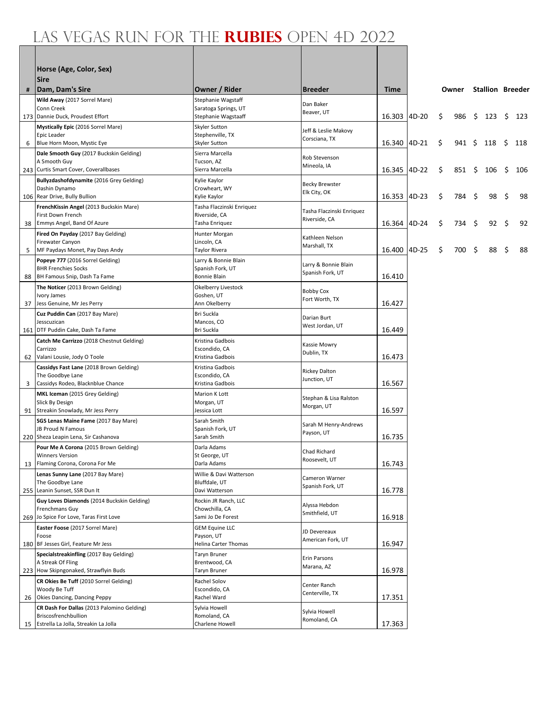|    | Horse (Age, Color, Sex)<br><b>Sire</b>                         |                                            |                                      |              |          |    |             |      |                         |    |     |
|----|----------------------------------------------------------------|--------------------------------------------|--------------------------------------|--------------|----------|----|-------------|------|-------------------------|----|-----|
| #  | Dam, Dam's Sire                                                | Owner / Rider                              | <b>Breeder</b>                       | <b>Time</b>  |          |    | Owner       |      | <b>Stallion Breeder</b> |    |     |
|    | Wild Away (2017 Sorrel Mare)<br>Conn Creek                     | Stephanie Wagstaff<br>Saratoga Springs, UT | Dan Baker<br>Beaver, UT              |              |          |    |             |      |                         |    |     |
|    | 173 Dannie Duck, Proudest Effort                               | Stephanie Wagstaaff                        |                                      | 16.303       | 4D-20    | \$ | 986         | - \$ | 123                     | \$ | 123 |
|    | Mystically Epic (2016 Sorrel Mare)                             | Skyler Sutton                              | Jeff & Leslie Makovy                 |              |          |    |             |      |                         |    |     |
| 6  | Epic Leader<br>Blue Horn Moon, Mystic Eye                      | Stephenville, TX<br>Skyler Sutton          | Corsciana, TX                        | 16.340       | $ 4D-21$ | S  | 941 \$      |      | 118                     | S  | 118 |
|    | Dale Smooth Guy (2017 Buckskin Gelding)                        | Sierra Marcella                            | Rob Stevenson                        |              |          |    |             |      |                         |    |     |
|    | A Smooth Guy                                                   | Tucson, AZ                                 | Mineola, IA                          |              |          |    |             |      |                         |    |     |
|    | 243 Curtis Smart Cover, Coverallbases                          | Sierra Marcella                            |                                      | 16.345 4D-22 |          | \$ | $851 \;$ \$ |      | 106                     | S  | 106 |
|    | Bullyzdashofdynamite (2016 Grey Gelding)<br>Dashin Dynamo      | Kylie Kaylor<br>Crowheart, WY              | <b>Becky Brewster</b>                |              |          |    |             |      |                         |    |     |
|    | 106 Rear Drive, Bully Bullion                                  | Kylie Kaylor                               | Elk City, OK                         | 16.353       | 4D-23    | \$ | 784         | -\$  | 98                      | \$ | 98  |
|    | FrenchKissin Angel (2013 Buckskin Mare)                        | Tasha Flaczinski Enriquez                  | Tasha Flaczinski Enriquez            |              |          |    |             |      |                         |    |     |
|    | First Down French<br>38 Emmys Angel, Band Of Azure             | Riverside, CA<br>Tasha Enriquez            | Riverside, CA                        | 16.364       | 4D-24    | \$ | 734         | -\$  | 92                      | \$ | 92  |
|    | Fired On Payday (2017 Bay Gelding)                             | Hunter Morgan                              |                                      |              |          |    |             |      |                         |    |     |
|    | Firewater Canyon                                               | Lincoln, CA                                | Kathleen Nelson<br>Marshall, TX      |              |          |    |             |      |                         |    |     |
| 5  | MF Paydays Monet, Pay Days Andy                                | Taylor Rivera                              |                                      | 16.400 4D-25 |          | \$ | 700         | -\$  | 88                      | \$ | 88  |
|    | Popeye 777 (2016 Sorrel Gelding)<br><b>BHR Frenchies Socks</b> | Larry & Bonnie Blain<br>Spanish Fork, UT   | Larry & Bonnie Blain                 |              |          |    |             |      |                         |    |     |
| 88 | BH Famous Snip, Dash Ta Fame                                   | <b>Bonnie Blain</b>                        | Spanish Fork, UT                     | 16.410       |          |    |             |      |                         |    |     |
|    | The Noticer (2013 Brown Gelding)                               | Okelberry Livestock                        |                                      |              |          |    |             |      |                         |    |     |
|    | Ivory James                                                    | Goshen, UT                                 | <b>Bobby Cox</b><br>Fort Worth, TX   |              |          |    |             |      |                         |    |     |
| 37 | Jess Genuine, Mr Jes Perry                                     | Ann Okelberry                              |                                      | 16.427       |          |    |             |      |                         |    |     |
|    | Cuz Puddin Can (2017 Bay Mare)<br>Jesscuzican                  | Bri Suckla<br>Mancos, CO                   | Darian Burt                          |              |          |    |             |      |                         |    |     |
|    | 161 DTF Puddin Cake, Dash Ta Fame                              | Bri Suckla                                 | West Jordan, UT                      | 16.449       |          |    |             |      |                         |    |     |
|    | Catch Me Carrizzo (2018 Chestnut Gelding)                      | Kristina Gadbois                           | Kassie Mowry                         |              |          |    |             |      |                         |    |     |
|    | Carrizzo<br>62 Valani Lousie, Jody O Toole                     | Escondido, CA<br>Kristina Gadbois          | Dublin, TX                           | 16.473       |          |    |             |      |                         |    |     |
|    | Cassidys Fast Lane (2018 Brown Gelding)                        | Kristina Gadbois                           |                                      |              |          |    |             |      |                         |    |     |
|    | The Goodbye Lane                                               | Escondido, CA                              | <b>Rickey Dalton</b><br>Junction, UT |              |          |    |             |      |                         |    |     |
| 3  | Cassidys Rodeo, Blacknblue Chance                              | Kristina Gadbois                           |                                      | 16.567       |          |    |             |      |                         |    |     |
|    | MKL Iceman (2015 Grey Gelding)<br>Slick By Design              | Marion K Lott<br>Morgan, UT                | Stephan & Lisa Ralston               |              |          |    |             |      |                         |    |     |
|    | 91 Streakin Snowlady, Mr Jess Perry                            | Jessica Lott                               | Morgan, UT                           | 16.597       |          |    |             |      |                         |    |     |
|    | SGS Lenas Maine Fame (2017 Bay Mare)                           | Sarah Smith                                | Sarah M Henry-Andrews                |              |          |    |             |      |                         |    |     |
|    | JB Proud N Famous<br>220 Sheza Leapin Lena, Sir Cashanova      | Spanish Fork, UT<br>Sarah Smith            | Payson, UT                           | 16.735       |          |    |             |      |                         |    |     |
|    | Pour Me A Corona (2015 Brown Gelding)                          | Darla Adams                                |                                      |              |          |    |             |      |                         |    |     |
|    | <b>Winners Version</b>                                         | St George, UT                              | Chad Richard<br>Roosevelt, UT        |              |          |    |             |      |                         |    |     |
|    | 13 Flaming Corona, Corona For Me                               | Darla Adams                                |                                      | 16.743       |          |    |             |      |                         |    |     |
|    | Lenas Sunny Lane (2017 Bay Mare)<br>The Goodbye Lane           | Willie & Davi Watterson<br>Bluffdale, UT   | Cameron Warner                       |              |          |    |             |      |                         |    |     |
|    | 255 Leanin Sunset, SSR Dun It                                  | Davi Watterson                             | Spanish Fork, UT                     | 16.778       |          |    |             |      |                         |    |     |
|    | Guy Loves Diamonds (2014 Buckskin Gelding)                     | Rockin JR Ranch, LLC                       | Alyssa Hebdon                        |              |          |    |             |      |                         |    |     |
|    | Frenchmans Guy<br>269 Jo Spice For Love, Taras First Love      | Chowchilla, CA<br>Sami Jo De Forest        | Smithfield, UT                       | 16.918       |          |    |             |      |                         |    |     |
|    | Easter Foose (2017 Sorrel Mare)                                | <b>GEM Equine LLC</b>                      |                                      |              |          |    |             |      |                         |    |     |
|    | Foose                                                          | Payson, UT                                 | JD Devereaux<br>American Fork, UT    |              |          |    |             |      |                         |    |     |
|    | 180 BF Jesses Girl, Feature Mr Jess                            | Helina Carter Thomas                       |                                      | 16.947       |          |    |             |      |                         |    |     |
|    | Specialstreakinfling (2017 Bay Gelding)<br>A Streak Of Fling   | Taryn Bruner<br>Brentwood, CA              | Erin Parsons                         |              |          |    |             |      |                         |    |     |
|    | 223 How Skipngonaked, Strawflyin Buds                          | Taryn Bruner                               | Marana, AZ                           | 16.978       |          |    |             |      |                         |    |     |
|    | CR Okies Be Tuff (2010 Sorrel Gelding)                         | Rachel Solov                               | Center Ranch                         |              |          |    |             |      |                         |    |     |
|    | Woody Be Tuff<br>26 Okies Dancing, Dancing Peppy               | Escondido, CA<br>Rachel Ward               | Centerville, TX                      | 17.351       |          |    |             |      |                         |    |     |
|    | CR Dash For Dallas (2013 Palomino Gelding)                     | Sylvia Howell                              |                                      |              |          |    |             |      |                         |    |     |
|    | Briscosfrenchbullion                                           | Romoland, CA                               | Sylvia Howell<br>Romoland, CA        |              |          |    |             |      |                         |    |     |
|    | 15 Estrella La Jolla, Streakin La Jolla                        | Charlene Howell                            |                                      | 17.363       |          |    |             |      |                         |    |     |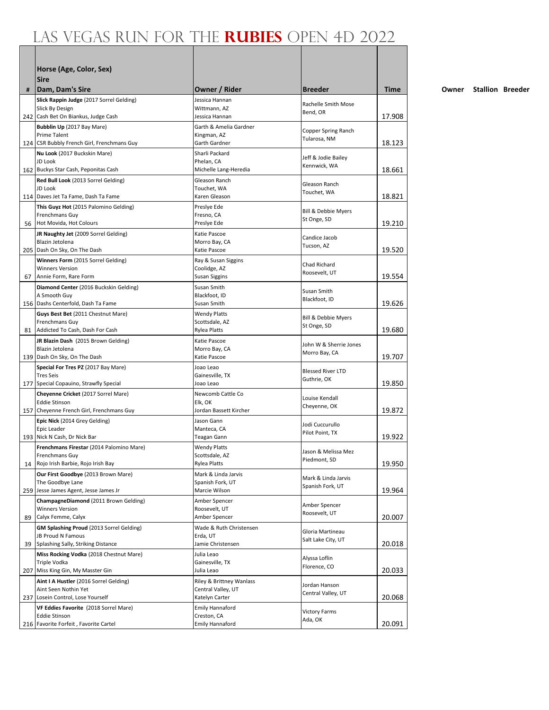|     | Horse (Age, Color, Sex)<br><b>Sire</b>                                 |                                          |                                     |        |
|-----|------------------------------------------------------------------------|------------------------------------------|-------------------------------------|--------|
| #   | Dam, Dam's Sire                                                        | Owner / Rider                            | Breeder                             | Time   |
|     | Slick Rappin Judge (2017 Sorrel Gelding)                               | Jessica Hannan                           |                                     |        |
|     | Slick By Design                                                        | Wittmann, AZ                             | Rachelle Smith Mose<br>Bend, OR     |        |
|     | 242 Cash Bet On Biankus, Judge Cash                                    | Jessica Hannan                           |                                     | 17.908 |
|     | Bubblin Up (2017 Bay Mare)                                             | Garth & Amelia Gardner                   | Copper Spring Ranch                 |        |
|     | Prime Talent<br>124 CSR Bubbly French Girl, Frenchmans Guy             | Kingman, AZ<br>Garth Gardner             | Tularosa, NM                        | 18.123 |
|     | Nu Look (2017 Buckskin Mare)                                           | Sharli Packard                           |                                     |        |
|     | JD Look                                                                | Phelan, CA                               | Jeff & Jodie Bailey                 |        |
|     | 162 Buckys Star Cash, Peponitas Cash                                   | Michelle Lang-Heredia                    | Kennwick, WA                        | 18.661 |
|     | Red Bull Look (2013 Sorrel Gelding)                                    | Gleason Ranch                            | Gleason Ranch                       |        |
|     | JD Look<br>114 Daves Jet Ta Fame, Dash Ta Fame                         | Touchet, WA<br>Karen Gleason             | Touchet, WA                         | 18.821 |
|     | This Guyz Hot (2015 Palomino Gelding)                                  | Preslye Ede                              |                                     |        |
|     | Frenchmans Guy                                                         | Fresno, CA                               | Bill & Debbie Myers                 |        |
|     | 56 Hot Movida, Hot Colours                                             | Preslye Ede                              | St Onge, SD                         | 19.210 |
|     | JR Naughty Jet (2009 Sorrel Gelding)                                   | Katie Pascoe                             | Candice Jacob                       |        |
|     | Blazin Jetolena                                                        | Morro Bay, CA<br>Katie Pascoe            | Tucson, AZ                          | 19.520 |
|     | 205 Dash On Sky, On The Dash                                           |                                          |                                     |        |
|     | Winners Form (2015 Sorrel Gelding)<br><b>Winners Version</b>           | Ray & Susan Siggins<br>Coolidge, AZ      | <b>Chad Richard</b>                 |        |
|     | 67 Annie Form, Rare Form                                               | Susan Siggins                            | Roosevelt, UT                       | 19.554 |
|     | Diamond Center (2016 Buckskin Gelding)                                 | Susan Smith                              | Susan Smith                         |        |
|     | A Smooth Guy                                                           | Blackfoot, ID                            | Blackfoot, ID                       |        |
|     | 156 Dashs Centerfold, Dash Ta Fame                                     | Susan Smith                              |                                     | 19.626 |
|     | Guys Best Bet (2011 Chestnut Mare)<br>Frenchmans Guy                   | <b>Wendy Platts</b><br>Scottsdale, AZ    | Bill & Debbie Myers                 |        |
|     | 81 Addicted To Cash, Dash For Cash                                     | <b>Rylea Platts</b>                      | St Onge, SD                         | 19.680 |
|     | JR Blazin Dash (2015 Brown Gelding)                                    | Katie Pascoe                             | John W & Sherrie Jones              |        |
|     | Blazin Jetolena                                                        | Morro Bay, CA                            | Morro Bay, CA                       |        |
|     | 139 Dash On Sky, On The Dash                                           | Katie Pascoe                             |                                     | 19.707 |
|     | Special For Tres PZ (2017 Bay Mare)<br><b>Tres Seis</b>                | Joao Leao<br>Gainesville, TX             | <b>Blessed River LTD</b>            |        |
|     | 177 Special Copauino, Strawfly Special                                 | Joao Leao                                | Guthrie, OK                         | 19.850 |
|     | Cheyenne Cricket (2017 Sorrel Mare)                                    | Newcomb Cattle Co                        |                                     |        |
|     | Eddie Stinson                                                          | Elk, OK                                  | Louise Kendall<br>Cheyenne, OK      |        |
|     | 157 Cheyenne French Girl, Frenchmans Guy                               | Jordan Bassett Kircher                   |                                     | 19.872 |
|     | Epic Nick (2014 Grey Gelding)                                          | Jason Gann                               | Jodi Cuccurullo                     |        |
|     | Epic Leader<br>193 Nick N Cash, Dr Nick Bar                            | Manteca, CA<br>Teagan Gann               | Pilot Point, TX                     | 19.922 |
|     | Frenchmans Firestar (2014 Palomino Mare)                               | <b>Wendy Platts</b>                      |                                     |        |
|     | Frenchmans Guy                                                         | Scottsdale, AZ                           | Jason & Melissa Mez<br>Piedmont, SD |        |
| 14  | Rojo Irish Barbie, Rojo Irish Bay                                      | <b>Rylea Platts</b>                      |                                     | 19.950 |
|     | Our First Goodbye (2013 Brown Mare)                                    | Mark & Linda Jarvis                      | Mark & Linda Jarvis                 |        |
|     | The Goodbye Lane<br>259 Jesse James Agent, Jesse James Jr              | Spanish Fork, UT<br>Marcie Wilson        | Spanish Fork, UT                    | 19.964 |
|     | ChampagneDiamond (2011 Brown Gelding)                                  | Amber Spencer                            |                                     |        |
|     | <b>Winners Version</b>                                                 | Roosevelt, UT                            | Amber Spencer<br>Roosevelt, UT      |        |
| 89  | Calyx Femme, Calyx                                                     | Amber Spencer                            |                                     | 20.007 |
|     | GM Splashing Proud (2013 Sorrel Gelding)                               | Wade & Ruth Christensen                  | Gloria Martineau                    |        |
| 39  | JB Proud N Famous<br>Splashing Sally, Striking Distance                | Erda, UT<br>Jamie Christensen            | Salt Lake City, UT                  | 20.018 |
|     | Miss Rocking Vodka (2018 Chestnut Mare)                                | Julia Leao                               |                                     |        |
|     | Triple Vodka                                                           | Gainesville, TX                          | Alyssa Loflin                       |        |
| 207 | Miss King Gin, My Masster Gin                                          | Julia Leao                               | Florence, CO                        | 20.033 |
|     | Aint I A Hustler (2016 Sorrel Gelding)                                 | Riley & Brittney Wanlass                 | Jordan Hanson                       |        |
|     | Aint Seen Nothin Yet                                                   | Central Valley, UT                       | Central Valley, UT                  | 20.068 |
| 237 | Losein Control, Lose Yourself<br>VF Eddies Favorite (2018 Sorrel Mare) | Katelyn Carter<br><b>Emily Hannaford</b> |                                     |        |
|     | <b>Eddie Stinson</b>                                                   | Creston, CA                              | <b>Victory Farms</b>                |        |
|     | 216 Favorite Forfeit, Favorite Cartel                                  | <b>Emily Hannaford</b>                   | Ada, OK                             | 20.091 |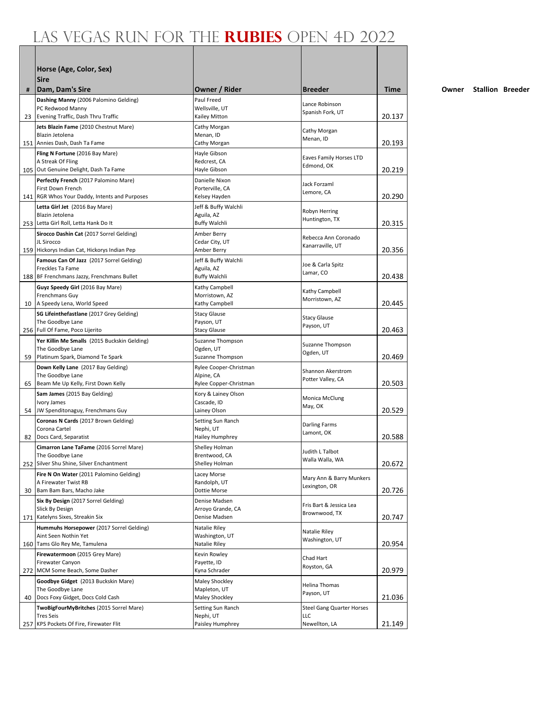|    | Horse (Age, Color, Sex)<br><b>Sire</b>                       |                                    |                                           |             |
|----|--------------------------------------------------------------|------------------------------------|-------------------------------------------|-------------|
| #  | Dam, Dam's Sire                                              | Owner / Rider                      | <b>Breeder</b>                            | <b>Time</b> |
|    | Dashing Manny (2006 Palomino Gelding)                        | Paul Freed                         | Lance Robinson                            |             |
| 23 | PC Redwood Manny<br>Evening Traffic, Dash Thru Traffic       | Wellsville, UT<br>Kailey Mitton    | Spanish Fork, UT                          | 20.137      |
|    | Jets Blazin Fame (2010 Chestnut Mare)                        | Cathy Morgan                       |                                           |             |
|    | Blazin Jetolena                                              | Menan, ID                          | Cathy Morgan<br>Menan, ID                 |             |
|    | 151 Annies Dash, Dash Ta Fame                                | Cathy Morgan                       |                                           | 20.193      |
|    | Fling N Fortune (2016 Bay Mare)<br>A Streak Of Fling         | Hayle Gibson<br>Redcrest, CA       | Eaves Family Horses LTD                   |             |
|    | 105 Out Genuine Delight, Dash Ta Fame                        | Hayle Gibson                       | Edmond, OK                                | 20.219      |
|    | Perfectly French (2017 Palomino Mare)                        | Danielle Nixon                     |                                           |             |
|    | First Down French                                            | Porterville, CA                    | Jack Forzaml<br>Lemore, CA                |             |
|    | 141   RGR Whos Your Daddy, Intents and Purposes              | Kelsey Hayden                      |                                           | 20.290      |
|    | Letta Girl Jet (2016 Bay Mare)<br>Blazin Jetolena            | Jeff & Buffy Walchli<br>Aguila, AZ | Robyn Herring                             |             |
|    | 253 Letta Girl Roll, Letta Hank Do It                        | <b>Buffy Walchli</b>               | Huntington, TX                            | 20.315      |
|    | Sirocco Dashin Cat (2017 Sorrel Gelding)                     | Amber Berry                        | Rebecca Ann Coronado                      |             |
|    | JL Sirocco                                                   | Cedar City, UT                     | Kanarraville, UT                          |             |
|    | 159 Hickorys Indian Cat, Hickorys Indian Pep                 | Amber Berry                        |                                           | 20.356      |
|    | Famous Can Of Jazz (2017 Sorrel Gelding)<br>Freckles Ta Fame | Jeff & Buffy Walchli<br>Aguila, AZ | Joe & Carla Spitz                         |             |
|    | 188 BF Frenchmans Jazzy, Frenchmans Bullet                   | <b>Buffy Walchli</b>               | Lamar, CO                                 | 20.438      |
|    | Guyz Speedy Girl (2016 Bay Mare)                             | Kathy Campbell                     | Kathy Campbell                            |             |
|    | Frenchmans Guy                                               | Morristown, AZ                     | Morristown, AZ                            |             |
|    | 10 A Speedy Lena, World Speed                                | Kathy Campbell                     |                                           | 20.445      |
|    | SG Lifeinthefastlane (2017 Grey Gelding)<br>The Goodbye Lane | <b>Stacy Glause</b><br>Payson, UT  | <b>Stacy Glause</b>                       |             |
|    | 256 Full Of Fame, Poco Lijerito                              | <b>Stacy Glause</b>                | Payson, UT                                | 20.463      |
|    | Yer Killin Me Smalls (2015 Buckskin Gelding)                 | Suzanne Thompson                   | Suzanne Thompson                          |             |
|    | The Goodbye Lane<br>59 Platinum Spark, Diamond Te Spark      | Ogden, UT<br>Suzanne Thompson      | Ogden, UT                                 | 20.469      |
|    | Down Kelly Lane (2017 Bay Gelding)                           | Rylee Cooper-Christman             |                                           |             |
|    | The Goodbye Lane                                             | Alpine, CA                         | Shannon Akerstrom                         |             |
| 65 | Beam Me Up Kelly, First Down Kelly                           | Rylee Copper-Christman             | Potter Valley, CA                         | 20.503      |
|    | Sam James (2015 Bay Gelding)                                 | Kory & Lainey Olson                | Monica McClung                            |             |
| 54 | Ivory James<br>JW Spenditonaguy, Frenchmans Guy              | Cascade, ID<br>Lainey Olson        | May, OK                                   | 20.529      |
|    | Coronas N Cards (2017 Brown Gelding)                         | Setting Sun Ranch                  |                                           |             |
|    | Corona Cartel                                                | Nephi, UT                          | Darling Farms<br>Lamont, OK               |             |
| 82 | Docs Card, Separatist                                        | Hailey Humphrey                    |                                           | 20.588      |
|    | Cimarron Lane TaFame (2016 Sorrel Mare)                      | Shelley Holman                     | Judith L Talbot                           |             |
|    | The Goodbye Lane<br>252 Silver Shu Shine, Silver Enchantment | Brentwood, CA<br>Shelley Holman    | Walla Walla, WA                           | 20.672      |
|    | Fire N On Water (2011 Palomino Gelding)                      | Lacey Morse                        |                                           |             |
|    | A Firewater Twist RB                                         | Randolph, UT                       | Mary Ann & Barry Munkers<br>Lexington, OR |             |
| 30 | Bam Bam Bars, Macho Jake                                     | Dottie Morse                       |                                           | 20.726      |
|    | Six By Design (2017 Sorrel Gelding)<br>Slick By Design       | Denise Madsen<br>Arroyo Grande, CA | Fris Bart & Jessica Lea                   |             |
|    | 171 Katelyns Sixes, Streakin Six                             | Denise Madsen                      | Brownwood, TX                             | 20.747      |
|    | Hummuhs Horsepower (2017 Sorrel Gelding)                     | Natalie Riley                      |                                           |             |
|    | Aint Seen Nothin Yet                                         | Washington, UT                     | Natalie Riley<br>Washington, UT           |             |
|    | 160 Tams Glo Rey Me, Tamulena                                | Natalie Riley                      |                                           | 20.954      |
|    | Firewatermoon (2015 Grey Mare)<br>Firewater Canyon           | Kevin Rowley<br>Payette, ID        | Chad Hart                                 |             |
|    | 272 MCM Some Beach, Some Dasher                              | Kyna Schrader                      | Royston, GA                               | 20.979      |
|    | Goodbye Gidget (2013 Buckskin Mare)                          | Maley Shockley                     | Helina Thomas                             |             |
|    | The Goodbye Lane                                             | Mapleton, UT                       | Payson, UT                                |             |
| 40 | Docs Foxy Gidget, Docs Cold Cash                             | Maley Shockley                     |                                           | 21.036      |
|    | TwoBigFourMyBritches (2015 Sorrel Mare)<br><b>Tres Seis</b>  | Setting Sun Ranch<br>Nephi, UT     | <b>Steel Gang Quarter Horses</b><br>LLC   |             |
|    | 257 KPS Pockets Of Fire, Firewater Flit                      | Paisley Humphrey                   | Newellton, LA                             | 21.149      |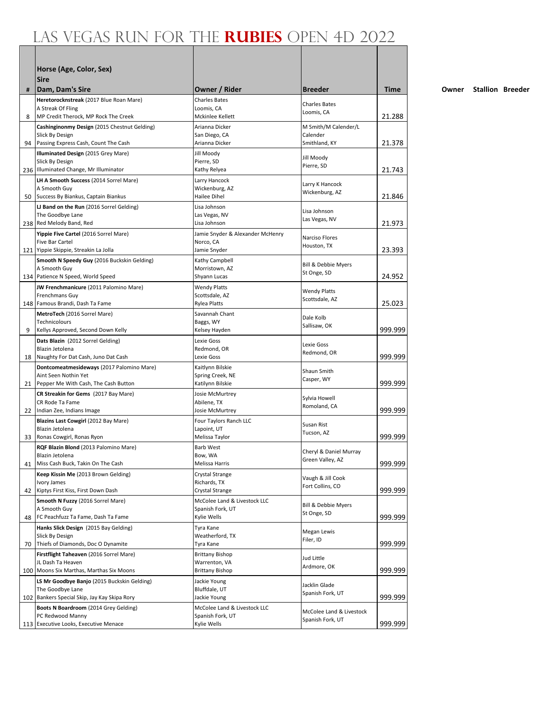|     | Horse (Age, Color, Sex)                                           |                                       |                                              |         |
|-----|-------------------------------------------------------------------|---------------------------------------|----------------------------------------------|---------|
|     | <b>Sire</b>                                                       |                                       |                                              |         |
| #   | Dam, Dam's Sire                                                   | Owner / Rider                         | <b>Breeder</b>                               | Time    |
|     | Heretorocknstreak (2017 Blue Roan Mare)                           | <b>Charles Bates</b>                  |                                              |         |
|     | A Streak Of Fling                                                 | Loomis, CA                            | <b>Charles Bates</b><br>Loomis, CA           |         |
| 8   | MP Credit Therock, MP Rock The Creek                              | Mckinlee Kellett                      |                                              | 21.288  |
|     | Cashinginonmy Design (2015 Chestnut Gelding)                      | Arianna Dicker                        | M Smith/M Calender/L                         |         |
| 94  | Slick By Design<br>Passing Express Cash, Count The Cash           | San Diego, CA<br>Arianna Dicker       | Calender<br>Smithland, KY                    | 21.378  |
|     | <b>Illuminated Design (2015 Grey Mare)</b>                        | Jill Moody                            |                                              |         |
|     | Slick By Design                                                   | Pierre, SD                            | Jill Moody<br>Pierre, SD                     |         |
|     | 236 Illuminated Change, Mr Illuminator                            | Kathy Relyea                          |                                              | 21.743  |
|     | LH A Smooth Success (2014 Sorrel Mare)                            | Larry Hancock                         | Larry K Hancock                              |         |
|     | A Smooth Guy<br>50 Success By Biankus, Captain Biankus            | Wickenburg, AZ<br>Hailee Dihel        | Wickenburg, AZ                               | 21.846  |
|     | LJ Band on the Run (2016 Sorrel Gelding)                          | Lisa Johnson                          |                                              |         |
|     | The Goodbye Lane                                                  | Las Vegas, NV                         | Lisa Johnson                                 |         |
|     | 238 Red Melody Band, Red                                          | Lisa Johnson                          | Las Vegas, NV                                | 21.973  |
|     | Yippie Five Cartel (2016 Sorrel Mare)                             | Jamie Snyder & Alexander McHenry      | Narciso Flores                               |         |
|     | Five Bar Cartel<br>121 Yippie Skippie, Streakin La Jolla          | Norco, CA<br>Jamie Snyder             | Houston, TX                                  | 23.393  |
|     | Smooth N Speedy Guy (2016 Buckskin Gelding)                       | Kathy Campbell                        |                                              |         |
|     | A Smooth Guy                                                      | Morristown, AZ                        | <b>Bill &amp; Debbie Myers</b>               |         |
|     | 134 Patience N Speed, World Speed                                 | Shyann Lucas                          | St Onge, SD                                  | 24.952  |
|     | JW Frenchmanicure (2011 Palomino Mare)                            | <b>Wendy Platts</b>                   | <b>Wendy Platts</b>                          |         |
|     | Frenchmans Guy                                                    | Scottsdale, AZ                        | Scottsdale, AZ                               |         |
|     | 148 Famous Brandi, Dash Ta Fame                                   | Rylea Platts                          |                                              | 25.023  |
|     | MetroTech (2016 Sorrel Mare)<br>Technicolours                     | Savannah Chant<br>Baggs, WY           | Dale Kolb                                    |         |
| 9   | Kellys Approved, Second Down Kelly                                | Kelsey Hayden                         | Sallisaw, OK                                 | 999.999 |
|     | Dats Blazin (2012 Sorrel Gelding)                                 | Lexie Goss                            | Lexie Goss                                   |         |
|     | Blazin Jetolena                                                   | Redmond, OR                           | Redmond, OR                                  |         |
|     | 18 Naughty For Dat Cash, Juno Dat Cash                            | Lexie Goss                            |                                              | 999.999 |
|     | Dontcomeatmesideways (2017 Palomino Mare)<br>Aint Seen Nothin Yet | Kaitlynn Bilskie<br>Spring Creek, NE  | Shaun Smith                                  |         |
|     | 21 Pepper Me With Cash, The Cash Button                           | Katilynn Bilskie                      | Casper, WY                                   | 999.999 |
|     | CR Streakin for Gems (2017 Bay Mare)                              | Josie McMurtrey                       | Sylvia Howell                                |         |
|     | CR Rode Ta Fame                                                   | Abilene, TX                           | Romoland, CA                                 |         |
|     | 22   Indian Zee, Indians Image                                    | Josie McMurtrey                       |                                              | 999.999 |
|     | Blazins Last Cowgirl (2012 Bay Mare)<br>Blazin Jetolena           | Four Taylors Ranch LLC<br>Lapoint, UT | Susan Rist                                   |         |
|     | 33 Ronas Cowgirl, Ronas Ryon                                      | Melissa Taylor                        | Tucson, AZ                                   | 999.999 |
|     | RQF Blazin Blond (2013 Palomino Mare)                             | <b>Barb West</b>                      |                                              |         |
|     | Blazin Jetolena                                                   | Bow, WA                               | Cheryl & Daniel Murray<br>Green Valley, AZ   |         |
| 41  | Miss Cash Buck, Takin On The Cash                                 | Melissa Harris                        |                                              | 999.999 |
|     | Keep Kissin Me (2013 Brown Gelding)<br>Ivory James                | Crystal Strange<br>Richards, TX       | Vaugh & Jill Cook                            |         |
| 42  | Kiptys First Kiss, First Down Dash                                | Crystal Strange                       | Fort Collins, CO                             | 999.999 |
|     | Smooth N Fuzzy (2016 Sorrel Mare)                                 | McColee Land & Livestock LLC          |                                              |         |
|     | A Smooth Guy                                                      | Spanish Fork, UT                      | Bill & Debbie Myers<br>St Onge, SD           |         |
| 48  | FC Peachfuzz Ta Fame, Dash Ta Fame                                | Kylie Wells                           |                                              | 999.999 |
|     | Hanks Slick Design (2015 Bay Gelding)<br>Slick By Design          | Tyra Kane<br>Weatherford, TX          | Megan Lewis                                  |         |
| 70  | Thiefs of Diamonds, Doc O Dynamite                                | Tyra Kane                             | Filer, ID                                    | 999.999 |
|     | Firstflight Taheaven (2016 Sorrel Mare)                           | <b>Brittany Bishop</b>                |                                              |         |
|     | JL Dash Ta Heaven                                                 | Warrenton, VA                         | Jud Little<br>Ardmore, OK                    |         |
|     | 100 Moons Six Marthas, Marthas Six Moons                          | <b>Brittany Bishop</b>                |                                              | 999.999 |
|     | LS Mr Goodbye Banjo (2015 Buckskin Gelding)                       | Jackie Young                          | Jacklin Glade                                |         |
| 102 | The Goodbye Lane<br>Bankers Special Skip, Jay Kay Skipa Rory      | Bluffdale, UT<br>Jackie Young         | Spanish Fork, UT                             | 999.999 |
|     | Boots N Boardroom (2014 Grey Gelding)                             | McColee Land & Livestock LLC          |                                              |         |
|     | PC Redwood Manny                                                  | Spanish Fork, UT                      | McColee Land & Livestock<br>Spanish Fork, UT |         |
|     | 113 Executive Looks, Executive Menace                             | Kylie Wells                           |                                              | 999.999 |